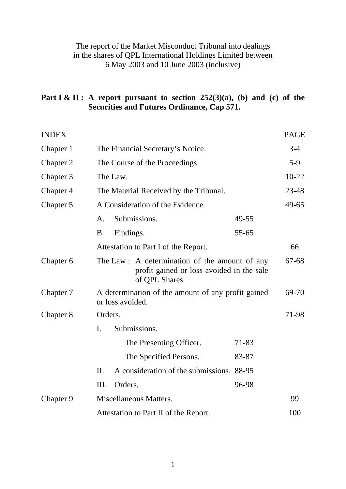# The report of the Market Misconduct Tribunal into dealings in the shares of QPL International Holdings Limited between 6 May 2003 and 10 June 2003 (inclusive)

# Part I & II : A report pursuant to section 252(3)(a), (b) and (c) of the **Securities and Futures Ordinance, Cap 571.**

| <b>INDEX</b> |                                                                                                              | <b>PAGE</b> |
|--------------|--------------------------------------------------------------------------------------------------------------|-------------|
| Chapter 1    | The Financial Secretary's Notice.                                                                            | $3-4$       |
| Chapter 2    | The Course of the Proceedings.                                                                               | $5-9$       |
| Chapter 3    | The Law.                                                                                                     | $10-22$     |
| Chapter 4    | The Material Received by the Tribunal.                                                                       | 23-48       |
| Chapter 5    | A Consideration of the Evidence.                                                                             | 49-65       |
|              | Submissions.<br>49-55<br>A <sub>1</sub>                                                                      |             |
|              | Findings.<br>$55 - 65$<br><b>B.</b>                                                                          |             |
|              | Attestation to Part I of the Report.                                                                         | 66          |
| Chapter 6    | The Law: A determination of the amount of any<br>profit gained or loss avoided in the sale<br>of QPL Shares. | $67 - 68$   |
| Chapter 7    | A determination of the amount of any profit gained<br>or loss avoided.                                       | 69-70       |
| Chapter 8    | Orders.                                                                                                      | 71-98       |
|              | Submissions.<br>$\mathbf{I}$ .                                                                               |             |
|              | The Presenting Officer.<br>71-83                                                                             |             |
|              | The Specified Persons.<br>83-87                                                                              |             |
|              | A consideration of the submissions. 88-95<br>II.                                                             |             |
|              | Ш.<br>Orders.<br>96-98                                                                                       |             |
| Chapter 9    | <b>Miscellaneous Matters.</b>                                                                                | 99          |
|              | Attestation to Part II of the Report.                                                                        | 100         |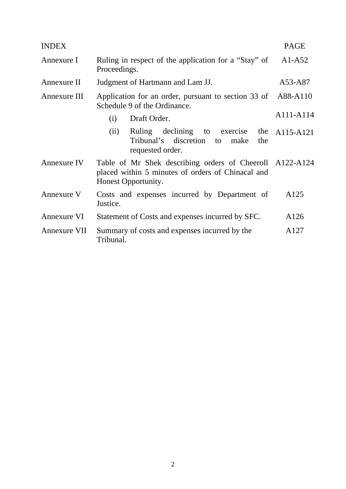| <b>INDEX</b> |                                                                                                                                      | <b>PAGE</b> |
|--------------|--------------------------------------------------------------------------------------------------------------------------------------|-------------|
| Annexure I   | Ruling in respect of the application for a "Stay" of<br>Proceedings.                                                                 | $A1-A52$    |
| Annexure II  | Judgment of Hartmann and Lam JJ.                                                                                                     | A53-A87     |
| Annexure III | Application for an order, pursuant to section 33 of<br>Schedule 9 of the Ordinance.                                                  | A88-A110    |
|              | Draft Order.<br>(i)                                                                                                                  | A111-A114   |
|              | Ruling declining to exercise<br>the<br>(ii)<br>Tribunal's discretion to<br>make<br>the<br>requested order.                           | A115-A121   |
| Annexure IV  | Table of Mr Shek describing orders of Cheeroll A122-A124<br>placed within 5 minutes of orders of Chinacal and<br>Honest Opportunity. |             |
| Annexure V   | Costs and expenses incurred by Department of<br>Justice.                                                                             | A125        |
| Annexure VI  | Statement of Costs and expenses incurred by SFC.                                                                                     | A126        |
| Annexure VII | Summary of costs and expenses incurred by the<br>Tribunal.                                                                           | A127        |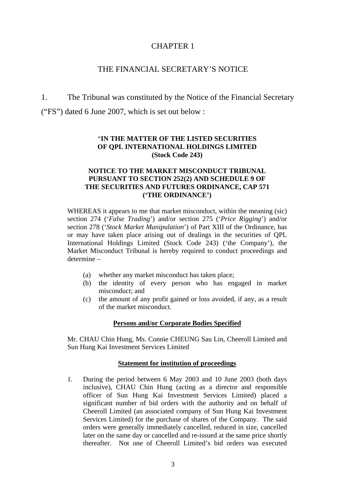# CHAPTER 1

## THE FINANCIAL SECRETARY'S NOTICE

1. The Tribunal was constituted by the Notice of the Financial Secretary

("FS") dated 6 June 2007, which is set out below :

## "**IN THE MATTER OF THE LISTED SECURITIES OF QPL INTERNATIONAL HOLDINGS LIMITED (Stock Code 243)**

#### **NOTICE TO THE MARKET MISCONDUCT TRIBUNAL PURSUANT TO SECTION 252(2) AND SCHEDULE 9 OF THE SECURITIES AND FUTURES ORDINANCE, CAP 571 ('THE ORDINANCE')**

WHEREAS it appears to me that market misconduct, within the meaning (sic) section 274 ('*False Trading*') and/or section 275 ('*Price Rigging*') and/or section 278 ('*Stock Market Manipulation*') of Part XIII of the Ordinance, has or may have taken place arising out of dealings in the securities of QPL International Holdings Limited (Stock Code 243) ('the Company'), the Market Misconduct Tribunal is hereby required to conduct proceedings and determine –

- (a) whether any market misconduct has taken place;
- (b) the identity of every person who has engaged in market misconduct; and
- (c) the amount of any profit gained or loss avoided, if any, as a result of the market misconduct.

## **Persons and/or Corporate Bodies Specified**

Mr. CHAU Chin Hung, Ms. Connie CHEUNG Sau Lin, Cheeroll Limited and Sun Hung Kai Investment Services Limited

## **Statement for institution of proceedings**

1. During the period between 6 May 2003 and 10 June 2003 (both days inclusive), CHAU Chin Hung (acting as a director and responsible officer of Sun Hung Kai Investment Services Limited) placed a significant number of bid orders with the authority and on behalf of Cheeroll Limited (an associated company of Sun Hung Kai Investment Services Limited) for the purchase of shares of the Company. The said orders were generally immediately cancelled, reduced in size, cancelled later on the same day or cancelled and re-issued at the same price shortly thereafter. Not one of Cheeroll Limited's bid orders was executed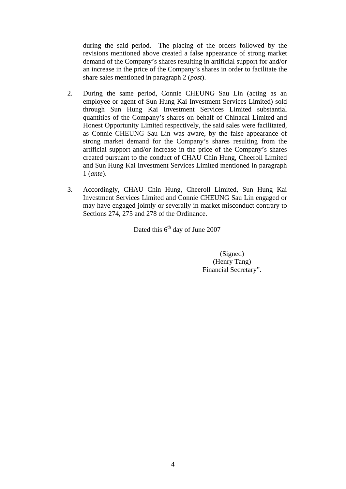during the said period. The placing of the orders followed by the revisions mentioned above created a false appearance of strong market demand of the Company's shares resulting in artificial support for and/or an increase in the price of the Company's shares in order to facilitate the share sales mentioned in paragraph 2 (*post*).

- 2. During the same period, Connie CHEUNG Sau Lin (acting as an employee or agent of Sun Hung Kai Investment Services Limited) sold through Sun Hung Kai Investment Services Limited substantial quantities of the Company's shares on behalf of Chinacal Limited and Honest Opportunity Limited respectively, the said sales were facilitated, as Connie CHEUNG Sau Lin was aware, by the false appearance of strong market demand for the Company's shares resulting from the artificial support and/or increase in the price of the Company's shares created pursuant to the conduct of CHAU Chin Hung, Cheeroll Limited and Sun Hung Kai Investment Services Limited mentioned in paragraph 1 (*ante*).
- 3. Accordingly, CHAU Chin Hung, Cheeroll Limited, Sun Hung Kai Investment Services Limited and Connie CHEUNG Sau Lin engaged or may have engaged jointly or severally in market misconduct contrary to Sections 274, 275 and 278 of the Ordinance.

Dated this 6<sup>th</sup> day of June 2007

(Signed) (Henry Tang) Financial Secretary".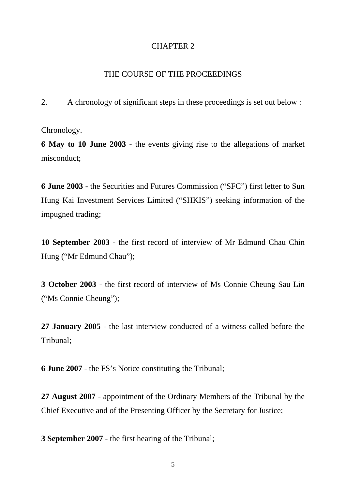## CHAPTER 2

## THE COURSE OF THE PROCEEDINGS

2. A chronology of significant steps in these proceedings is set out below :

Chronology.

**6 May to 10 June 2003** - the events giving rise to the allegations of market misconduct;

**6 June 2003 -** the Securities and Futures Commission ("SFC") first letter to Sun Hung Kai Investment Services Limited ("SHKIS") seeking information of the impugned trading;

**10 September 2003** - the first record of interview of Mr Edmund Chau Chin Hung ("Mr Edmund Chau");

**3 October 2003** - the first record of interview of Ms Connie Cheung Sau Lin ("Ms Connie Cheung");

**27 January 2005** - the last interview conducted of a witness called before the Tribunal;

**6 June 2007** - the FS's Notice constituting the Tribunal;

**27 August 2007** - appointment of the Ordinary Members of the Tribunal by the Chief Executive and of the Presenting Officer by the Secretary for Justice;

**3 September 2007** - the first hearing of the Tribunal;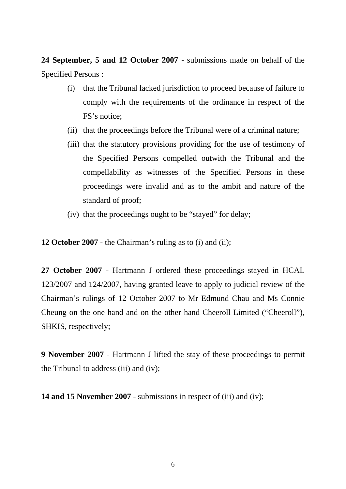**24 September, 5 and 12 October 2007** - submissions made on behalf of the Specified Persons :

- (i) that the Tribunal lacked jurisdiction to proceed because of failure to comply with the requirements of the ordinance in respect of the FS's notice;
- (ii) that the proceedings before the Tribunal were of a criminal nature;
- (iii) that the statutory provisions providing for the use of testimony of the Specified Persons compelled outwith the Tribunal and the compellability as witnesses of the Specified Persons in these proceedings were invalid and as to the ambit and nature of the standard of proof;
- (iv) that the proceedings ought to be "stayed" for delay;

**12 October 2007** - the Chairman's ruling as to (i) and (ii);

**27 October 2007** - Hartmann J ordered these proceedings stayed in HCAL 123/2007 and 124/2007, having granted leave to apply to judicial review of the Chairman's rulings of 12 October 2007 to Mr Edmund Chau and Ms Connie Cheung on the one hand and on the other hand Cheeroll Limited ("Cheeroll"), SHKIS, respectively;

**9 November 2007** - Hartmann J lifted the stay of these proceedings to permit the Tribunal to address (iii) and (iv);

**14 and 15 November 2007** - submissions in respect of (iii) and (iv);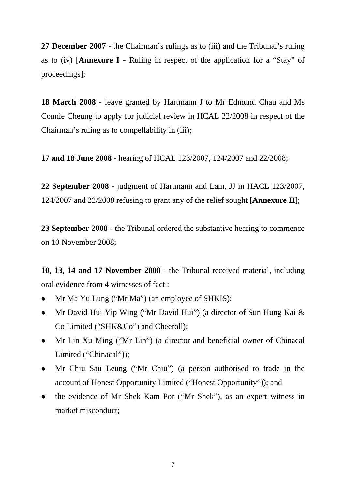**27 December 2007** - the Chairman's rulings as to (iii) and the Tribunal's ruling as to (iv) [**Annexure I -** Ruling in respect of the application for a "Stay" of proceedings];

**18 March 2008** - leave granted by Hartmann J to Mr Edmund Chau and Ms Connie Cheung to apply for judicial review in HCAL 22/2008 in respect of the Chairman's ruling as to compellability in (iii);

**17 and 18 June 2008** - hearing of HCAL 123/2007, 124/2007 and 22/2008;

**22 September 2008** - judgment of Hartmann and Lam, JJ in HACL 123/2007, 124/2007 and 22/2008 refusing to grant any of the relief sought [**Annexure II**];

**23 September 2008 -** the Tribunal ordered the substantive hearing to commence on 10 November 2008;

**10, 13, 14 and 17 November 2008** - the Tribunal received material, including oral evidence from 4 witnesses of fact :

- Mr Ma Yu Lung ("Mr Ma") (an employee of SHKIS);
- Mr David Hui Yip Wing ("Mr David Hui") (a director of Sun Hung Kai  $\&$ Co Limited ("SHK&Co") and Cheeroll);
- Mr Lin Xu Ming ("Mr Lin") (a director and beneficial owner of Chinacal Limited ("Chinacal"));
- Mr Chiu Sau Leung ("Mr Chiu") (a person authorised to trade in the account of Honest Opportunity Limited ("Honest Opportunity")); and
- the evidence of Mr Shek Kam Por ("Mr Shek"), as an expert witness in market misconduct;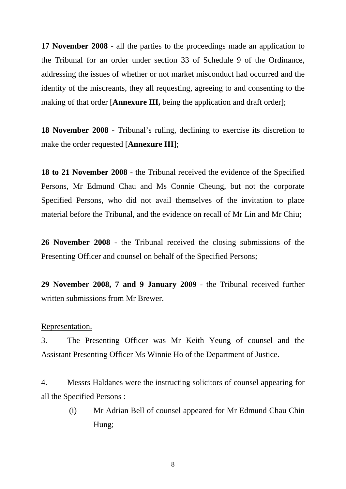**17 November 2008** - all the parties to the proceedings made an application to the Tribunal for an order under section 33 of Schedule 9 of the Ordinance, addressing the issues of whether or not market misconduct had occurred and the identity of the miscreants, they all requesting, agreeing to and consenting to the making of that order [**Annexure III**, being the application and draft order];

**18 November 2008** - Tribunal's ruling, declining to exercise its discretion to make the order requested [**Annexure III**];

**18 to 21 November 2008** - the Tribunal received the evidence of the Specified Persons, Mr Edmund Chau and Ms Connie Cheung, but not the corporate Specified Persons, who did not avail themselves of the invitation to place material before the Tribunal, and the evidence on recall of Mr Lin and Mr Chiu;

**26 November 2008** - the Tribunal received the closing submissions of the Presenting Officer and counsel on behalf of the Specified Persons;

**29 November 2008, 7 and 9 January 2009** - the Tribunal received further written submissions from Mr Brewer.

#### Representation.

3. The Presenting Officer was Mr Keith Yeung of counsel and the Assistant Presenting Officer Ms Winnie Ho of the Department of Justice.

4. Messrs Haldanes were the instructing solicitors of counsel appearing for all the Specified Persons :

> (i) Mr Adrian Bell of counsel appeared for Mr Edmund Chau Chin Hung;

> > 8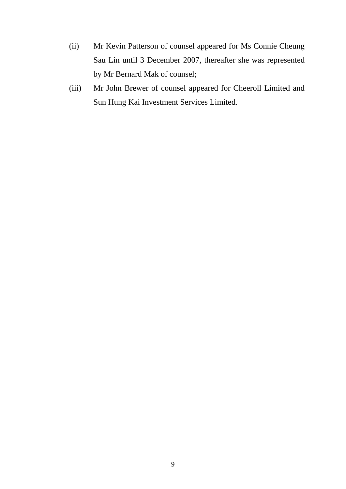- (ii) Mr Kevin Patterson of counsel appeared for Ms Connie Cheung Sau Lin until 3 December 2007, thereafter she was represented by Mr Bernard Mak of counsel;
- (iii) Mr John Brewer of counsel appeared for Cheeroll Limited and Sun Hung Kai Investment Services Limited.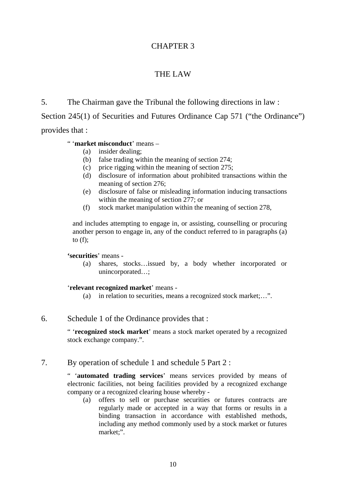# CHAPTER 3

## THE LAW

5. The Chairman gave the Tribunal the following directions in law : Section 245(1) of Securities and Futures Ordinance Cap 571 ("the Ordinance") provides that :

## " '**market misconduct**' means –

- (a) insider dealing;
- (b) false trading within the meaning of section 274;
- (c) price rigging within the meaning of section 275;
- (d) disclosure of information about prohibited transactions within the meaning of section 276;
- (e) disclosure of false or misleading information inducing transactions within the meaning of section 277; or
- (f) stock market manipulation within the meaning of section 278,

and includes attempting to engage in, or assisting, counselling or procuring another person to engage in, any of the conduct referred to in paragraphs (a) to  $(f)$ :

#### **'securities**' means -

(a) shares, stocks…issued by, a body whether incorporated or unincorporated…;

#### '**relevant recognized market**' means -

- (a) in relation to securities, means a recognized stock market;…".
- 6. Schedule 1 of the Ordinance provides that :

" '**recognized stock market**' means a stock market operated by a recognized stock exchange company.".

7. By operation of schedule 1 and schedule 5 Part 2 :

" '**automated trading services**' means services provided by means of electronic facilities, not being facilities provided by a recognized exchange company or a recognized clearing house whereby -

(a) offers to sell or purchase securities or futures contracts are regularly made or accepted in a way that forms or results in a binding transaction in accordance with established methods, including any method commonly used by a stock market or futures market;".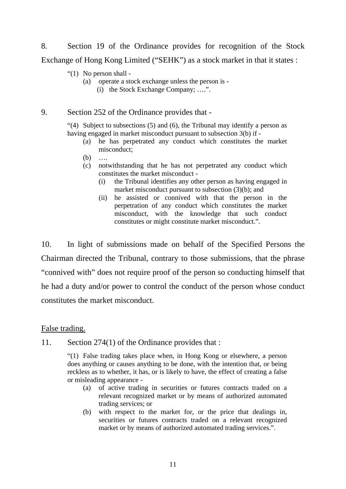8. Section 19 of the Ordinance provides for recognition of the Stock Exchange of Hong Kong Limited ("SEHK") as a stock market in that it states :

- " $(1)$  No person shall -
	- (a) operate a stock exchange unless the person is
		- (i) the Stock Exchange Company; ….".

## 9. Section 252 of the Ordinance provides that -

"(4) Subject to subsections (5) and (6), the Tribunal may identify a person as having engaged in market misconduct pursuant to subsection 3(b) if -

- (a) he has perpetrated any conduct which constitutes the market misconduct;
- (b) ….
- (c) notwithstanding that he has not perpetrated any conduct which constitutes the market misconduct -
	- (i) the Tribunal identifies any other person as having engaged in market misconduct pursuant to subsection (3)(b); and
	- (ii) he assisted or connived with that the person in the perpetration of any conduct which constitutes the market misconduct, with the knowledge that such conduct constitutes or might constitute market misconduct.".

10. In light of submissions made on behalf of the Specified Persons the Chairman directed the Tribunal, contrary to those submissions, that the phrase "connived with" does not require proof of the person so conducting himself that he had a duty and/or power to control the conduct of the person whose conduct constitutes the market misconduct.

## False trading.

11. Section 274(1) of the Ordinance provides that :

"(1) False trading takes place when, in Hong Kong or elsewhere, a person does anything or causes anything to be done, with the intention that, or being reckless as to whether, it has, or is likely to have, the effect of creating a false or misleading appearance -

- (a) of active trading in securities or futures contracts traded on a relevant recognized market or by means of authorized automated trading services; or
- (b) with respect to the market for, or the price that dealings in, securities or futures contracts traded on a relevant recognized market or by means of authorized automated trading services.".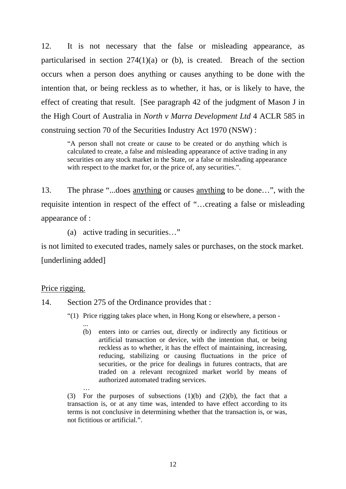12. It is not necessary that the false or misleading appearance, as particularised in section  $274(1)(a)$  or (b), is created. Breach of the section occurs when a person does anything or causes anything to be done with the intention that, or being reckless as to whether, it has, or is likely to have, the effect of creating that result. [See paragraph 42 of the judgment of Mason J in the High Court of Australia in *North v Marra Development Ltd* 4 ACLR 585 in construing section 70 of the Securities Industry Act 1970 (NSW) :

"A person shall not create or cause to be created or do anything which is calculated to create, a false and misleading appearance of active trading in any securities on any stock market in the State, or a false or misleading appearance with respect to the market for, or the price of, any securities.".

13. The phrase "...does anything or causes anything to be done…", with the requisite intention in respect of the effect of "…creating a false or misleading appearance of :

(a) active trading in securities…"

is not limited to executed trades, namely sales or purchases, on the stock market. [underlining added]

## Price rigging.

...

- 14. Section 275 of the Ordinance provides that :
	- "(1) Price rigging takes place when, in Hong Kong or elsewhere, a person
		- (b) enters into or carries out, directly or indirectly any fictitious or artificial transaction or device, with the intention that, or being reckless as to whether, it has the effect of maintaining, increasing, reducing, stabilizing or causing fluctuations in the price of securities, or the price for dealings in futures contracts, that are traded on a relevant recognized market world by means of authorized automated trading services.

… (3) For the purposes of subsections  $(1)(b)$  and  $(2)(b)$ , the fact that a transaction is, or at any time was, intended to have effect according to its terms is not conclusive in determining whether that the transaction is, or was, not fictitious or artificial.".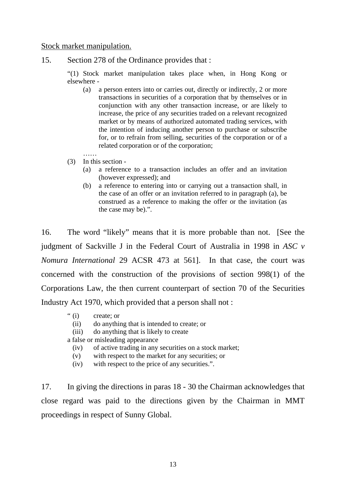## Stock market manipulation.

15. Section 278 of the Ordinance provides that :

"(1) Stock market manipulation takes place when, in Hong Kong or elsewhere -

- (a) a person enters into or carries out, directly or indirectly, 2 or more transactions in securities of a corporation that by themselves or in conjunction with any other transaction increase, or are likely to increase, the price of any securities traded on a relevant recognized market or by means of authorized automated trading services, with the intention of inducing another person to purchase or subscribe for, or to refrain from selling, securities of the corporation or of a related corporation or of the corporation;
- …… (3) In this section -
	- (a) a reference to a transaction includes an offer and an invitation (however expressed); and
	- (b) a reference to entering into or carrying out a transaction shall, in the case of an offer or an invitation referred to in paragraph (a), be construed as a reference to making the offer or the invitation (as the case may be).".

16. The word "likely" means that it is more probable than not. [See the judgment of Sackville J in the Federal Court of Australia in 1998 in *ASC v Nomura International* 29 ACSR 473 at 561]. In that case, the court was concerned with the construction of the provisions of section 998(1) of the Corporations Law, the then current counterpart of section 70 of the Securities Industry Act 1970, which provided that a person shall not :

- " (i) create; or
	- (ii) do anything that is intended to create; or
	- (iii) do anything that is likely to create
- a false or misleading appearance
	- (iv) of active trading in any securities on a stock market;
	- (v) with respect to the market for any securities; or
	- (iv) with respect to the price of any securities.".

17. In giving the directions in paras 18 - 30 the Chairman acknowledges that close regard was paid to the directions given by the Chairman in MMT proceedings in respect of Sunny Global.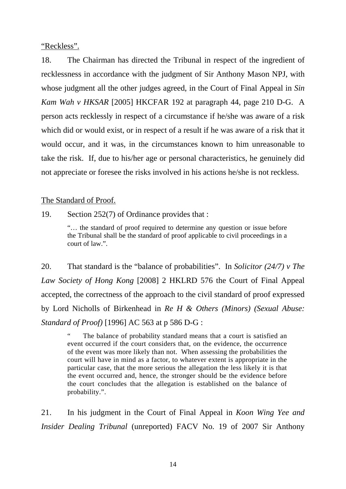"Reckless".

18. The Chairman has directed the Tribunal in respect of the ingredient of recklessness in accordance with the judgment of Sir Anthony Mason NPJ, with whose judgment all the other judges agreed, in the Court of Final Appeal in *Sin Kam Wah v HKSAR* [2005] HKCFAR 192 at paragraph 44, page 210 D-G. A person acts recklessly in respect of a circumstance if he/she was aware of a risk which did or would exist, or in respect of a result if he was aware of a risk that it would occur, and it was, in the circumstances known to him unreasonable to take the risk. If, due to his/her age or personal characteristics, he genuinely did not appreciate or foresee the risks involved in his actions he/she is not reckless.

# The Standard of Proof.

19. Section 252(7) of Ordinance provides that :

"… the standard of proof required to determine any question or issue before the Tribunal shall be the standard of proof applicable to civil proceedings in a court of law.".

20. That standard is the "balance of probabilities". In *Solicitor (24/7) v The Law Society of Hong Kong* [2008] 2 HKLRD 576 the Court of Final Appeal accepted, the correctness of the approach to the civil standard of proof expressed by Lord Nicholls of Birkenhead in *Re H & Others (Minors) (Sexual Abuse: Standard of Proof)* [1996] AC 563 at p 586 D-G :

The balance of probability standard means that a court is satisfied an event occurred if the court considers that, on the evidence, the occurrence of the event was more likely than not. When assessing the probabilities the court will have in mind as a factor, to whatever extent is appropriate in the particular case, that the more serious the allegation the less likely it is that the event occurred and, hence, the stronger should be the evidence before the court concludes that the allegation is established on the balance of probability.".

21. In his judgment in the Court of Final Appeal in *Koon Wing Yee and Insider Dealing Tribunal* (unreported) FACV No. 19 of 2007 Sir Anthony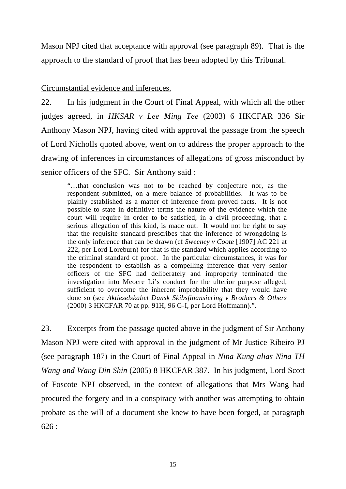Mason NPJ cited that acceptance with approval (see paragraph 89). That is the approach to the standard of proof that has been adopted by this Tribunal.

Circumstantial evidence and inferences.

22. In his judgment in the Court of Final Appeal, with which all the other judges agreed, in *HKSAR v Lee Ming Tee* (2003) 6 HKCFAR 336 Sir Anthony Mason NPJ, having cited with approval the passage from the speech of Lord Nicholls quoted above, went on to address the proper approach to the drawing of inferences in circumstances of allegations of gross misconduct by senior officers of the SFC. Sir Anthony said :

"…that conclusion was not to be reached by conjecture nor, as the respondent submitted, on a mere balance of probabilities. It was to be plainly established as a matter of inference from proved facts. It is not possible to state in definitive terms the nature of the evidence which the court will require in order to be satisfied, in a civil proceeding, that a serious allegation of this kind, is made out. It would not be right to say that the requisite standard prescribes that the inference of wrongdoing is the only inference that can be drawn (cf *Sweeney v Coote* [1907] AC 221 at 222, per Lord Loreburn) for that is the standard which applies according to the criminal standard of proof. In the particular circumstances, it was for the respondent to establish as a compelling inference that very senior officers of the SFC had deliberately and improperly terminated the investigation into Meocre Li's conduct for the ulterior purpose alleged, sufficient to overcome the inherent improbability that they would have done so (see *Aktieselskabet Dansk Skibsfinansiering v Brothers & Others* (2000) 3 HKCFAR 70 at pp. 91H, 96 G-I, per Lord Hoffmann).".

23. Excerpts from the passage quoted above in the judgment of Sir Anthony Mason NPJ were cited with approval in the judgment of Mr Justice Ribeiro PJ (see paragraph 187) in the Court of Final Appeal in *Nina Kung alias Nina TH Wang and Wang Din Shin* (2005) 8 HKCFAR 387. In his judgment, Lord Scott of Foscote NPJ observed, in the context of allegations that Mrs Wang had procured the forgery and in a conspiracy with another was attempting to obtain probate as the will of a document she knew to have been forged, at paragraph 626 :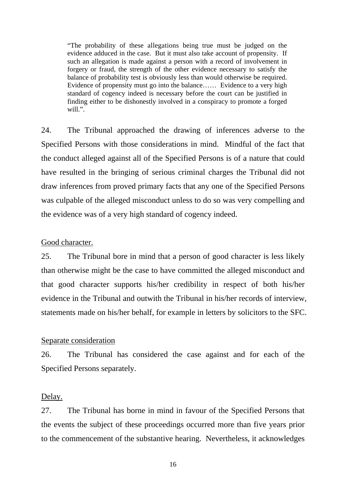"The probability of these allegations being true must be judged on the evidence adduced in the case. But it must also take account of propensity. If such an allegation is made against a person with a record of involvement in forgery or fraud, the strength of the other evidence necessary to satisfy the balance of probability test is obviously less than would otherwise be required. Evidence of propensity must go into the balance…… Evidence to a very high standard of cogency indeed is necessary before the court can be justified in finding either to be dishonestly involved in a conspiracy to promote a forged will.".

24. The Tribunal approached the drawing of inferences adverse to the Specified Persons with those considerations in mind. Mindful of the fact that the conduct alleged against all of the Specified Persons is of a nature that could have resulted in the bringing of serious criminal charges the Tribunal did not draw inferences from proved primary facts that any one of the Specified Persons was culpable of the alleged misconduct unless to do so was very compelling and the evidence was of a very high standard of cogency indeed.

## Good character.

25. The Tribunal bore in mind that a person of good character is less likely than otherwise might be the case to have committed the alleged misconduct and that good character supports his/her credibility in respect of both his/her evidence in the Tribunal and outwith the Tribunal in his/her records of interview, statements made on his/her behalf, for example in letters by solicitors to the SFC.

## Separate consideration

26. The Tribunal has considered the case against and for each of the Specified Persons separately.

## Delay.

27. The Tribunal has borne in mind in favour of the Specified Persons that the events the subject of these proceedings occurred more than five years prior to the commencement of the substantive hearing. Nevertheless, it acknowledges

16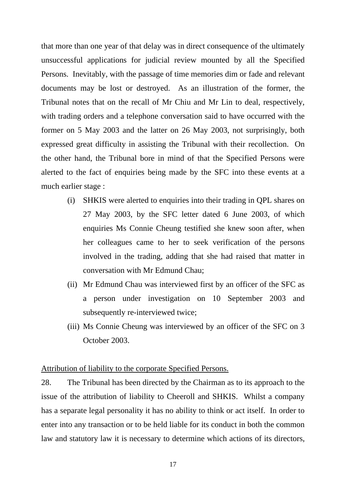that more than one year of that delay was in direct consequence of the ultimately unsuccessful applications for judicial review mounted by all the Specified Persons. Inevitably, with the passage of time memories dim or fade and relevant documents may be lost or destroyed. As an illustration of the former, the Tribunal notes that on the recall of Mr Chiu and Mr Lin to deal, respectively, with trading orders and a telephone conversation said to have occurred with the former on 5 May 2003 and the latter on 26 May 2003, not surprisingly, both expressed great difficulty in assisting the Tribunal with their recollection. On the other hand, the Tribunal bore in mind of that the Specified Persons were alerted to the fact of enquiries being made by the SFC into these events at a much earlier stage :

- (i) SHKIS were alerted to enquiries into their trading in QPL shares on 27 May 2003, by the SFC letter dated 6 June 2003, of which enquiries Ms Connie Cheung testified she knew soon after, when her colleagues came to her to seek verification of the persons involved in the trading, adding that she had raised that matter in conversation with Mr Edmund Chau;
- (ii) Mr Edmund Chau was interviewed first by an officer of the SFC as a person under investigation on 10 September 2003 and subsequently re-interviewed twice;
- (iii) Ms Connie Cheung was interviewed by an officer of the SFC on 3 October 2003.

#### Attribution of liability to the corporate Specified Persons.

28. The Tribunal has been directed by the Chairman as to its approach to the issue of the attribution of liability to Cheeroll and SHKIS. Whilst a company has a separate legal personality it has no ability to think or act itself. In order to enter into any transaction or to be held liable for its conduct in both the common law and statutory law it is necessary to determine which actions of its directors,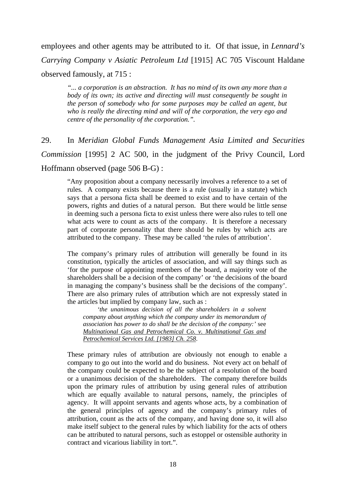employees and other agents may be attributed to it. Of that issue, in *Lennard's Carrying Company v Asiatic Petroleum Ltd* [1915] AC 705 Viscount Haldane observed famously, at 715 :

*"... a corporation is an abstraction. It has no mind of its own any more than a body of its own; its active and directing will must consequently be sought in the person of somebody who for some purposes may be called an agent, but who is really the directing mind and will of the corporation, the very ego and centre of the personality of the corporation.".* 

29. In *Meridian Global Funds Management Asia Limited and Securities Commission* [1995] 2 AC 500, in the judgment of the Privy Council, Lord Hoffmann observed (page 506 B-G) :

"Any proposition about a company necessarily involves a reference to a set of rules. A company exists because there is a rule (usually in a statute) which says that a persona ficta shall be deemed to exist and to have certain of the powers, rights and duties of a natural person. But there would be little sense in deeming such a persona ficta to exist unless there were also rules to tell one what acts were to count as acts of the company. It is therefore a necessary part of corporate personality that there should be rules by which acts are attributed to the company. These may be called 'the rules of attribution'.

The company's primary rules of attribution will generally be found in its constitution, typically the articles of association, and will say things such as 'for the purpose of appointing members of the board, a majority vote of the shareholders shall be a decision of the company' or 'the decisions of the board in managing the company's business shall be the decisions of the company'. There are also primary rules of attribution which are not expressly stated in the articles but implied by company law, such as :

 *'the unanimous decision of all the shareholders in a solvent company about anything which the company under its memorandum of association has power to do shall be the decision of the company:'* see *[Multinational Gas and Petrochemical Co. v. Multinational Gas and](http://international.westlaw.com/find/default.wl?vc=0&ordoc=1995257142&rp=%2ffind%2fdefault.wl&DB=UK%2DCASELOC&SerialNum=1983031636&FindType=Y&AP=&fn=_top&rs=WLIN8.06&mt=WestlawUK&vr=2.0&sv=Split&sp=hkjud-2000)  [Petrochemical Services Ltd. \[1983\] Ch. 258](http://international.westlaw.com/find/default.wl?vc=0&ordoc=1995257142&rp=%2ffind%2fdefault.wl&DB=UK%2DCASELOC&SerialNum=1983031636&FindType=Y&AP=&fn=_top&rs=WLIN8.06&mt=WestlawUK&vr=2.0&sv=Split&sp=hkjud-2000)*.

These primary rules of attribution are obviously not enough to enable a company to go out into the world and do business. Not every act on behalf of the company could be expected to be the subject of a resolution of the board or a unanimous decision of the shareholders. The company therefore builds upon the primary rules of attribution by using general rules of attribution which are equally available to natural persons, namely, the principles of agency. It will appoint servants and agents whose acts, by a combination of the general principles of agency and the company's primary rules of attribution, count as the acts of the company, and having done so, it will also make itself subject to the general rules by which liability for the acts of others can be attributed to natural persons, such as estoppel or ostensible authority in contract and vicarious liability in tort.".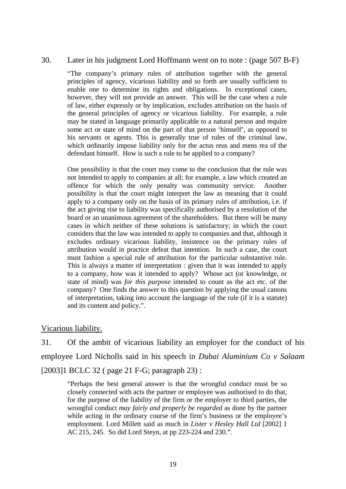## 30. Later in his judgment Lord Hoffmann went on to note : (page 507 B-F)

"The company's primary rules of attribution together with the general principles of agency, vicarious liability and so forth are usually sufficient to enable one to determine its rights and obligations. In exceptional cases, however, they will not provide an answer. This will be the case when a rule of law, either expressly or by implication, excludes attribution on the basis of the general principles of agency or vicarious liability. For example, a rule may be stated in language primarily applicable to a natural person and require some act or state of mind on the part of that person 'himself', as opposed to his servants or agents. This is generally true of rules of the criminal law, which ordinarily impose liability only for the actus reus and mens rea of the defendant himself. How is such a rule to be applied to a company?

One possibility is that the court may come to the conclusion that the rule was not intended to apply to companies at all; for example, a law which created an offence for which the only penalty was community service. Another possibility is that the court might interpret the law as meaning that it could apply to a company only on the basis of its primary rules of attribution, i.e. if the act giving rise to liability was specifically authorised by a resolution of the board or an unanimous agreement of the shareholders. But there will be many cases in which neither of these solutions is satisfactory; in which the court considers that the law was intended to apply to companies and that, although it excludes ordinary vicarious liability, insistence on the primary rules of attribution would in practice defeat that intention. In such a case, the court must fashion a special rule of attribution for the particular substantive rule. This is always a matter of interpretation : given that it was intended to apply to a company, how was it intended to apply? Whose act (or knowledge, or state of mind) was *for this purpose* intended to count as the act etc. of the company? One finds the answer to this question by applying the usual canons of interpretation, taking into account the language of the rule (if it is a statute) and its content and policy.".

Vicarious liability.

31. Of the ambit of vicarious liability an employer for the conduct of his employee Lord Nicholls said in his speech in *Dubai Aluminium Co v Salaam* [2003]1 BCLC 32 ( page 21 F-G; paragraph 23) :

"Perhaps the best general answer is that the wrongful conduct must be so closely connected with acts the partner or employee was authorised to do that, for the purpose of the liability of the firm or the employer to third parties, the wrongful conduct *may fairly and properly be regarded* as done by the partner while acting in the ordinary course of the firm's business or the employee's employment. Lord Millett said as much in *Lister v Hesley Hall Ltd* [2002] 1 AC 215, 245. So did Lord Steyn, at pp 223-224 and 230.".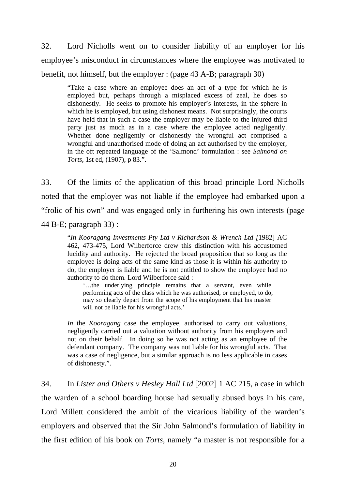32. Lord Nicholls went on to consider liability of an employer for his employee's misconduct in circumstances where the employee was motivated to benefit, not himself, but the employer : (page 43 A-B; paragraph 30)

"Take a case where an employee does an act of a type for which he is employed but, perhaps through a misplaced excess of zeal, he does so dishonestly. He seeks to promote his employer's interests, in the sphere in which he is employed, but using dishonest means. Not surprisingly, the courts have held that in such a case the employer may be liable to the injured third party just as much as in a case where the employee acted negligently. Whether done negligently or dishonestly the wrongful act comprised a wrongful and unauthorised mode of doing an act authorised by the employer, in the oft repeated language of the 'Salmond' formulation : see *Salmond on Torts*, 1st ed, (1907), p 83.".

33. Of the limits of the application of this broad principle Lord Nicholls noted that the employer was not liable if the employee had embarked upon a "frolic of his own" and was engaged only in furthering his own interests (page 44 B-E; paragraph 33) :

"*In Kooragang Investments Pty Ltd v Richardson & Wrench Ltd [*1982] AC 462, 473-475, Lord Wilberforce drew this distinction with his accustomed lucidity and authority. He rejected the broad proposition that so long as the employee is doing acts of the same kind as those it is within his authority to do, the employer is liable and he is not entitled to show the employee had no authority to do them. Lord Wilberforce said :

'…the underlying principle remains that a servant, even while performing acts of the class which he was authorised, or employed, to do, may so clearly depart from the scope of his employment that his master will not be liable for his wrongful acts.'

*In* the *Kooragang* case the employee, authorised to carry out valuations, negligently carried out a valuation without authority from his employers and not on their behalf. In doing so he was not acting as an employee of the defendant company. The company was not liable for his wrongful acts. That was a case of negligence, but a similar approach is no less applicable in cases of dishonesty.".

34. In *Lister and Others v Hesley Hall Ltd* [2002] 1 AC 215, a case in which the warden of a school boarding house had sexually abused boys in his care, Lord Millett considered the ambit of the vicarious liability of the warden's employers and observed that the Sir John Salmond's formulation of liability in the first edition of his book on *Torts*, namely "a master is not responsible for a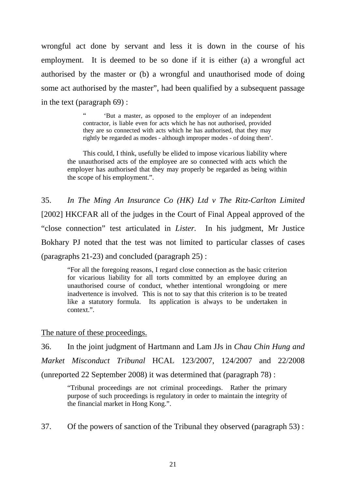wrongful act done by servant and less it is down in the course of his employment. It is deemed to be so done if it is either (a) a wrongful act authorised by the master or (b) a wrongful and unauthorised mode of doing some act authorised by the master", had been qualified by a subsequent passage in the text (paragraph 69) :

> " 'But a master, as opposed to the employer of an independent contractor, is liable even for acts which he has not authorised, provided they are so connected with acts which he has authorised, that they may rightly be regarded as modes - although improper modes - of doing them'.

This could, I think, usefully be elided to impose vicarious liability where the unauthorised acts of the employee are so connected with acts which the employer has authorised that they may properly be regarded as being within the scope of his employment.".

35. *In The Ming An Insurance Co (HK) Ltd v The Ritz-Carlton Limited* [2002] HKCFAR all of the judges in the Court of Final Appeal approved of the "close connection" test articulated in *Lister.* In his judgment, Mr Justice Bokhary PJ noted that the test was not limited to particular classes of cases (paragraphs 21-23) and concluded (paragraph 25) :

"For all the foregoing reasons, I regard close connection as the basic criterion for vicarious liability for all torts committed by an employee during an unauthorised course of conduct, whether intentional wrongdoing or mere inadvertence is involved. This is not to say that this criterion is to be treated like a statutory formula. Its application is always to be undertaken in context.".

The nature of these proceedings.

36. In the joint judgment of Hartmann and Lam JJs in *Chau Chin Hung and Market Misconduct Tribunal* HCAL 123/2007, 124/2007 and 22/2008 (unreported 22 September 2008) it was determined that (paragraph 78) :

"Tribunal proceedings are not criminal proceedings. Rather the primary purpose of such proceedings is regulatory in order to maintain the integrity of the financial market in Hong Kong.".

37. Of the powers of sanction of the Tribunal they observed (paragraph 53) :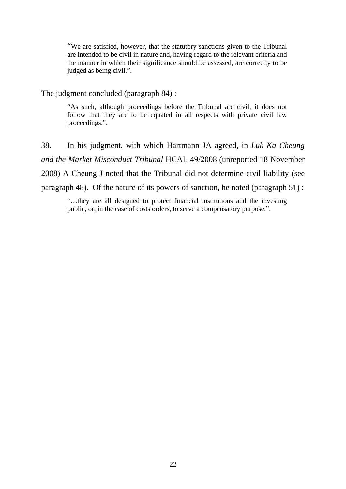"We are satisfied, however, that the statutory sanctions given to the Tribunal are intended to be civil in nature and, having regard to the relevant criteria and the manner in which their significance should be assessed, are correctly to be judged as being civil.".

The judgment concluded (paragraph 84) :

"As such, although proceedings before the Tribunal are civil, it does not follow that they are to be equated in all respects with private civil law proceedings.".

38. In his judgment, with which Hartmann JA agreed, in *Luk Ka Cheung and the Market Misconduct Tribunal* HCAL 49/2008 (unreported 18 November 2008) A Cheung J noted that the Tribunal did not determine civil liability (see paragraph 48). Of the nature of its powers of sanction, he noted (paragraph 51) :

"…they are all designed to protect financial institutions and the investing public, or, in the case of costs orders, to serve a compensatory purpose.".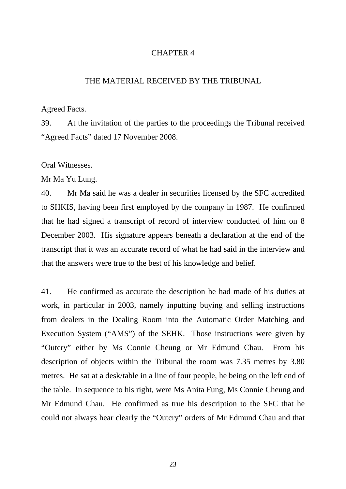## CHAPTER 4

#### THE MATERIAL RECEIVED BY THE TRIBUNAL

#### Agreed Facts.

39. At the invitation of the parties to the proceedings the Tribunal received "Agreed Facts" dated 17 November 2008.

#### Oral Witnesses.

#### Mr Ma Yu Lung.

40. Mr Ma said he was a dealer in securities licensed by the SFC accredited to SHKIS, having been first employed by the company in 1987. He confirmed that he had signed a transcript of record of interview conducted of him on 8 December 2003. His signature appears beneath a declaration at the end of the transcript that it was an accurate record of what he had said in the interview and that the answers were true to the best of his knowledge and belief.

41. He confirmed as accurate the description he had made of his duties at work, in particular in 2003, namely inputting buying and selling instructions from dealers in the Dealing Room into the Automatic Order Matching and Execution System ("AMS") of the SEHK. Those instructions were given by "Outcry" either by Ms Connie Cheung or Mr Edmund Chau. From his description of objects within the Tribunal the room was 7.35 metres by 3.80 metres. He sat at a desk/table in a line of four people, he being on the left end of the table. In sequence to his right, were Ms Anita Fung, Ms Connie Cheung and Mr Edmund Chau. He confirmed as true his description to the SFC that he could not always hear clearly the "Outcry" orders of Mr Edmund Chau and that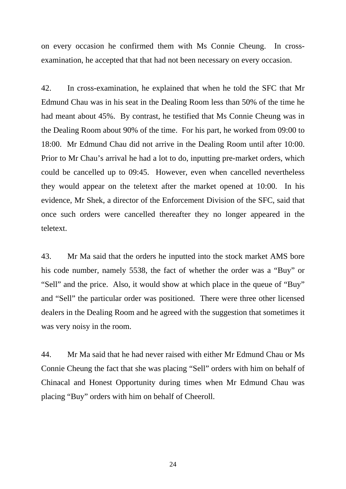on every occasion he confirmed them with Ms Connie Cheung. In crossexamination, he accepted that that had not been necessary on every occasion.

42. In cross-examination, he explained that when he told the SFC that Mr Edmund Chau was in his seat in the Dealing Room less than 50% of the time he had meant about 45%. By contrast, he testified that Ms Connie Cheung was in the Dealing Room about 90% of the time. For his part, he worked from 09:00 to 18:00. Mr Edmund Chau did not arrive in the Dealing Room until after 10:00. Prior to Mr Chau's arrival he had a lot to do, inputting pre-market orders, which could be cancelled up to 09:45. However, even when cancelled nevertheless they would appear on the teletext after the market opened at 10:00. In his evidence, Mr Shek, a director of the Enforcement Division of the SFC, said that once such orders were cancelled thereafter they no longer appeared in the teletext.

43. Mr Ma said that the orders he inputted into the stock market AMS bore his code number, namely 5538, the fact of whether the order was a "Buy" or "Sell" and the price. Also, it would show at which place in the queue of "Buy" and "Sell" the particular order was positioned. There were three other licensed dealers in the Dealing Room and he agreed with the suggestion that sometimes it was very noisy in the room.

44. Mr Ma said that he had never raised with either Mr Edmund Chau or Ms Connie Cheung the fact that she was placing "Sell" orders with him on behalf of Chinacal and Honest Opportunity during times when Mr Edmund Chau was placing "Buy" orders with him on behalf of Cheeroll.

24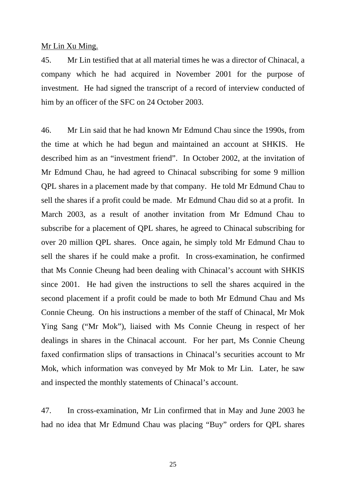#### Mr Lin Xu Ming.

45. Mr Lin testified that at all material times he was a director of Chinacal, a company which he had acquired in November 2001 for the purpose of investment. He had signed the transcript of a record of interview conducted of him by an officer of the SFC on 24 October 2003.

46. Mr Lin said that he had known Mr Edmund Chau since the 1990s, from the time at which he had begun and maintained an account at SHKIS. He described him as an "investment friend". In October 2002, at the invitation of Mr Edmund Chau, he had agreed to Chinacal subscribing for some 9 million QPL shares in a placement made by that company. He told Mr Edmund Chau to sell the shares if a profit could be made. Mr Edmund Chau did so at a profit. In March 2003, as a result of another invitation from Mr Edmund Chau to subscribe for a placement of QPL shares, he agreed to Chinacal subscribing for over 20 million QPL shares. Once again, he simply told Mr Edmund Chau to sell the shares if he could make a profit. In cross-examination, he confirmed that Ms Connie Cheung had been dealing with Chinacal's account with SHKIS since 2001. He had given the instructions to sell the shares acquired in the second placement if a profit could be made to both Mr Edmund Chau and Ms Connie Cheung. On his instructions a member of the staff of Chinacal, Mr Mok Ying Sang ("Mr Mok"), liaised with Ms Connie Cheung in respect of her dealings in shares in the Chinacal account. For her part, Ms Connie Cheung faxed confirmation slips of transactions in Chinacal's securities account to Mr Mok, which information was conveyed by Mr Mok to Mr Lin. Later, he saw and inspected the monthly statements of Chinacal's account.

47. In cross-examination, Mr Lin confirmed that in May and June 2003 he had no idea that Mr Edmund Chau was placing "Buy" orders for QPL shares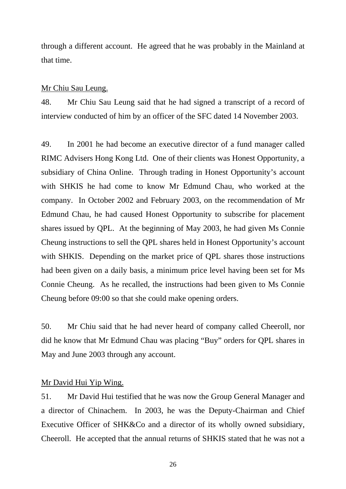through a different account. He agreed that he was probably in the Mainland at that time.

## Mr Chiu Sau Leung.

48. Mr Chiu Sau Leung said that he had signed a transcript of a record of interview conducted of him by an officer of the SFC dated 14 November 2003.

49. In 2001 he had become an executive director of a fund manager called RIMC Advisers Hong Kong Ltd. One of their clients was Honest Opportunity, a subsidiary of China Online. Through trading in Honest Opportunity's account with SHKIS he had come to know Mr Edmund Chau, who worked at the company. In October 2002 and February 2003, on the recommendation of Mr Edmund Chau, he had caused Honest Opportunity to subscribe for placement shares issued by QPL. At the beginning of May 2003, he had given Ms Connie Cheung instructions to sell the QPL shares held in Honest Opportunity's account with SHKIS. Depending on the market price of QPL shares those instructions had been given on a daily basis, a minimum price level having been set for Ms Connie Cheung. As he recalled, the instructions had been given to Ms Connie Cheung before 09:00 so that she could make opening orders.

50. Mr Chiu said that he had never heard of company called Cheeroll, nor did he know that Mr Edmund Chau was placing "Buy" orders for QPL shares in May and June 2003 through any account.

## Mr David Hui Yip Wing.

51. Mr David Hui testified that he was now the Group General Manager and a director of Chinachem. In 2003, he was the Deputy-Chairman and Chief Executive Officer of SHK&Co and a director of its wholly owned subsidiary, Cheeroll. He accepted that the annual returns of SHKIS stated that he was not a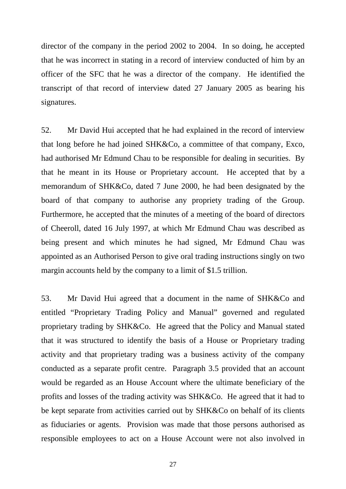director of the company in the period 2002 to 2004. In so doing, he accepted that he was incorrect in stating in a record of interview conducted of him by an officer of the SFC that he was a director of the company. He identified the transcript of that record of interview dated 27 January 2005 as bearing his signatures.

52. Mr David Hui accepted that he had explained in the record of interview that long before he had joined SHK&Co, a committee of that company, Exco, had authorised Mr Edmund Chau to be responsible for dealing in securities. By that he meant in its House or Proprietary account. He accepted that by a memorandum of SHK&Co, dated 7 June 2000, he had been designated by the board of that company to authorise any propriety trading of the Group. Furthermore, he accepted that the minutes of a meeting of the board of directors of Cheeroll, dated 16 July 1997, at which Mr Edmund Chau was described as being present and which minutes he had signed, Mr Edmund Chau was appointed as an Authorised Person to give oral trading instructions singly on two margin accounts held by the company to a limit of \$1.5 trillion.

53. Mr David Hui agreed that a document in the name of SHK&Co and entitled "Proprietary Trading Policy and Manual" governed and regulated proprietary trading by SHK&Co. He agreed that the Policy and Manual stated that it was structured to identify the basis of a House or Proprietary trading activity and that proprietary trading was a business activity of the company conducted as a separate profit centre. Paragraph 3.5 provided that an account would be regarded as an House Account where the ultimate beneficiary of the profits and losses of the trading activity was SHK&Co. He agreed that it had to be kept separate from activities carried out by SHK&Co on behalf of its clients as fiduciaries or agents. Provision was made that those persons authorised as responsible employees to act on a House Account were not also involved in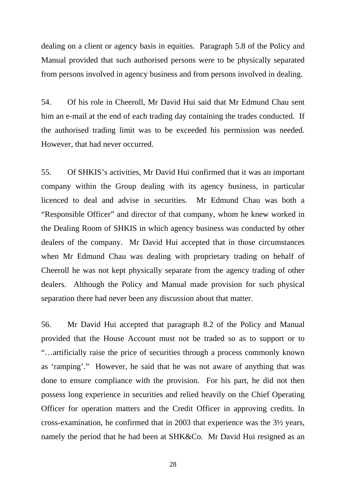dealing on a client or agency basis in equities. Paragraph 5.8 of the Policy and Manual provided that such authorised persons were to be physically separated from persons involved in agency business and from persons involved in dealing.

54. Of his role in Cheeroll, Mr David Hui said that Mr Edmund Chau sent him an e-mail at the end of each trading day containing the trades conducted. If the authorised trading limit was to be exceeded his permission was needed. However, that had never occurred.

55. Of SHKIS's activities, Mr David Hui confirmed that it was an important company within the Group dealing with its agency business, in particular licenced to deal and advise in securities. Mr Edmund Chau was both a "Responsible Officer" and director of that company, whom he knew worked in the Dealing Room of SHKIS in which agency business was conducted by other dealers of the company. Mr David Hui accepted that in those circumstances when Mr Edmund Chau was dealing with proprietary trading on behalf of Cheeroll he was not kept physically separate from the agency trading of other dealers. Although the Policy and Manual made provision for such physical separation there had never been any discussion about that matter.

56. Mr David Hui accepted that paragraph 8.2 of the Policy and Manual provided that the House Account must not be traded so as to support or to "…artificially raise the price of securities through a process commonly known as 'ramping'." However, he said that he was not aware of anything that was done to ensure compliance with the provision. For his part, he did not then possess long experience in securities and relied heavily on the Chief Operating Officer for operation matters and the Credit Officer in approving credits. In cross-examination, he confirmed that in 2003 that experience was the 3½ years, namely the period that he had been at SHK&Co. Mr David Hui resigned as an

28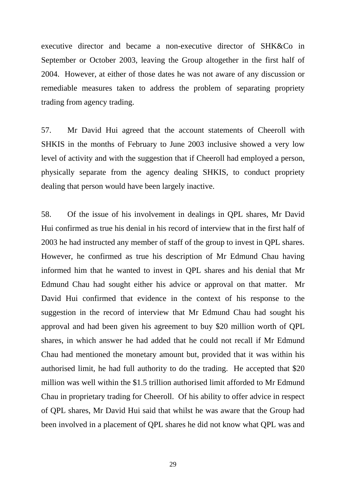executive director and became a non-executive director of SHK&Co in September or October 2003, leaving the Group altogether in the first half of 2004. However, at either of those dates he was not aware of any discussion or remediable measures taken to address the problem of separating propriety trading from agency trading.

57. Mr David Hui agreed that the account statements of Cheeroll with SHKIS in the months of February to June 2003 inclusive showed a very low level of activity and with the suggestion that if Cheeroll had employed a person, physically separate from the agency dealing SHKIS, to conduct propriety dealing that person would have been largely inactive.

58. Of the issue of his involvement in dealings in QPL shares, Mr David Hui confirmed as true his denial in his record of interview that in the first half of 2003 he had instructed any member of staff of the group to invest in QPL shares. However, he confirmed as true his description of Mr Edmund Chau having informed him that he wanted to invest in QPL shares and his denial that Mr Edmund Chau had sought either his advice or approval on that matter. Mr David Hui confirmed that evidence in the context of his response to the suggestion in the record of interview that Mr Edmund Chau had sought his approval and had been given his agreement to buy \$20 million worth of QPL shares, in which answer he had added that he could not recall if Mr Edmund Chau had mentioned the monetary amount but, provided that it was within his authorised limit, he had full authority to do the trading. He accepted that \$20 million was well within the \$1.5 trillion authorised limit afforded to Mr Edmund Chau in proprietary trading for Cheeroll. Of his ability to offer advice in respect of QPL shares, Mr David Hui said that whilst he was aware that the Group had been involved in a placement of QPL shares he did not know what QPL was and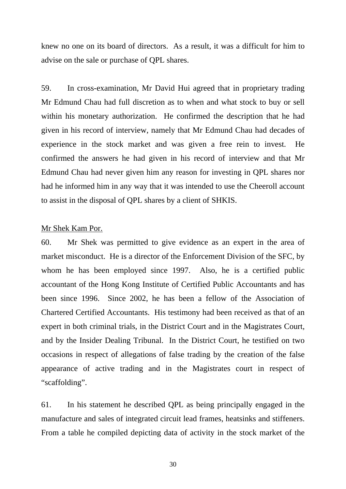knew no one on its board of directors. As a result, it was a difficult for him to advise on the sale or purchase of QPL shares.

59. In cross-examination, Mr David Hui agreed that in proprietary trading Mr Edmund Chau had full discretion as to when and what stock to buy or sell within his monetary authorization. He confirmed the description that he had given in his record of interview, namely that Mr Edmund Chau had decades of experience in the stock market and was given a free rein to invest. He confirmed the answers he had given in his record of interview and that Mr Edmund Chau had never given him any reason for investing in QPL shares nor had he informed him in any way that it was intended to use the Cheeroll account to assist in the disposal of QPL shares by a client of SHKIS.

#### Mr Shek Kam Por.

60. Mr Shek was permitted to give evidence as an expert in the area of market misconduct. He is a director of the Enforcement Division of the SFC, by whom he has been employed since 1997. Also, he is a certified public accountant of the Hong Kong Institute of Certified Public Accountants and has been since 1996. Since 2002, he has been a fellow of the Association of Chartered Certified Accountants. His testimony had been received as that of an expert in both criminal trials, in the District Court and in the Magistrates Court, and by the Insider Dealing Tribunal. In the District Court, he testified on two occasions in respect of allegations of false trading by the creation of the false appearance of active trading and in the Magistrates court in respect of "scaffolding".

61. In his statement he described QPL as being principally engaged in the manufacture and sales of integrated circuit lead frames, heatsinks and stiffeners. From a table he compiled depicting data of activity in the stock market of the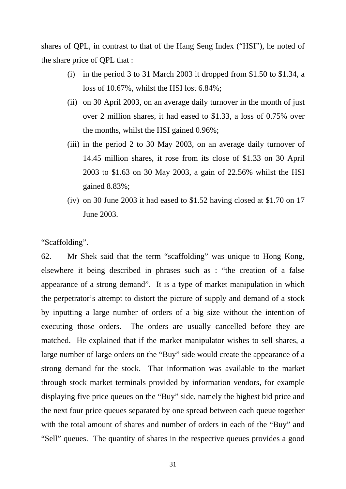shares of QPL, in contrast to that of the Hang Seng Index ("HSI"), he noted of the share price of QPL that :

- (i) in the period 3 to 31 March 2003 it dropped from \$1.50 to \$1.34, a loss of 10.67%, whilst the HSI lost 6.84%;
- (ii) on 30 April 2003, on an average daily turnover in the month of just over 2 million shares, it had eased to \$1.33, a loss of 0.75% over the months, whilst the HSI gained 0.96%;
- (iii) in the period 2 to 30 May 2003, on an average daily turnover of 14.45 million shares, it rose from its close of \$1.33 on 30 April 2003 to \$1.63 on 30 May 2003, a gain of 22.56% whilst the HSI gained 8.83%;
- (iv) on 30 June 2003 it had eased to \$1.52 having closed at \$1.70 on 17 June 2003.

## "Scaffolding".

62. Mr Shek said that the term "scaffolding" was unique to Hong Kong, elsewhere it being described in phrases such as : "the creation of a false appearance of a strong demand". It is a type of market manipulation in which the perpetrator's attempt to distort the picture of supply and demand of a stock by inputting a large number of orders of a big size without the intention of executing those orders. The orders are usually cancelled before they are matched. He explained that if the market manipulator wishes to sell shares, a large number of large orders on the "Buy" side would create the appearance of a strong demand for the stock. That information was available to the market through stock market terminals provided by information vendors, for example displaying five price queues on the "Buy" side, namely the highest bid price and the next four price queues separated by one spread between each queue together with the total amount of shares and number of orders in each of the "Buy" and "Sell" queues. The quantity of shares in the respective queues provides a good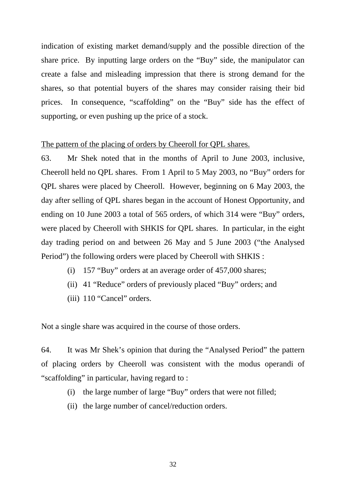indication of existing market demand/supply and the possible direction of the share price. By inputting large orders on the "Buy" side, the manipulator can create a false and misleading impression that there is strong demand for the shares, so that potential buyers of the shares may consider raising their bid prices. In consequence, "scaffolding" on the "Buy" side has the effect of supporting, or even pushing up the price of a stock.

## The pattern of the placing of orders by Cheeroll for QPL shares.

63. Mr Shek noted that in the months of April to June 2003, inclusive, Cheeroll held no QPL shares. From 1 April to 5 May 2003, no "Buy" orders for QPL shares were placed by Cheeroll. However, beginning on 6 May 2003, the day after selling of QPL shares began in the account of Honest Opportunity, and ending on 10 June 2003 a total of 565 orders, of which 314 were "Buy" orders, were placed by Cheeroll with SHKIS for QPL shares. In particular, in the eight day trading period on and between 26 May and 5 June 2003 ("the Analysed Period") the following orders were placed by Cheeroll with SHKIS :

- (i) 157 "Buy" orders at an average order of 457,000 shares;
- (ii) 41 "Reduce" orders of previously placed "Buy" orders; and
- (iii) 110 "Cancel" orders.

Not a single share was acquired in the course of those orders.

64. It was Mr Shek's opinion that during the "Analysed Period" the pattern of placing orders by Cheeroll was consistent with the modus operandi of "scaffolding" in particular, having regard to :

- (i) the large number of large "Buy" orders that were not filled;
- (ii) the large number of cancel/reduction orders.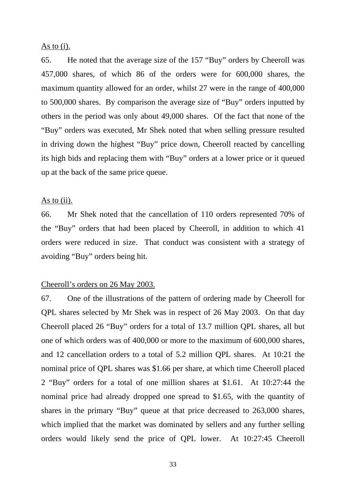## As to  $(i)$ .

65. He noted that the average size of the 157 "Buy" orders by Cheeroll was 457,000 shares, of which 86 of the orders were for 600,000 shares, the maximum quantity allowed for an order, whilst 27 were in the range of 400,000 to 500,000 shares. By comparison the average size of "Buy" orders inputted by others in the period was only about 49,000 shares. Of the fact that none of the "Buy" orders was executed, Mr Shek noted that when selling pressure resulted in driving down the highest "Buy" price down, Cheeroll reacted by cancelling its high bids and replacing them with "Buy" orders at a lower price or it queued up at the back of the same price queue.

#### As to (ii).

66. Mr Shek noted that the cancellation of 110 orders represented 70% of the "Buy" orders that had been placed by Cheeroll, in addition to which 41 orders were reduced in size. That conduct was consistent with a strategy of avoiding "Buy" orders being hit.

## Cheeroll's orders on 26 May 2003.

67. One of the illustrations of the pattern of ordering made by Cheeroll for QPL shares selected by Mr Shek was in respect of 26 May 2003. On that day Cheeroll placed 26 "Buy" orders for a total of 13.7 million QPL shares, all but one of which orders was of 400,000 or more to the maximum of 600,000 shares, and 12 cancellation orders to a total of 5.2 million QPL shares. At 10:21 the nominal price of QPL shares was \$1.66 per share, at which time Cheeroll placed 2 "Buy" orders for a total of one million shares at \$1.61. At 10:27:44 the nominal price had already dropped one spread to \$1.65, with the quantity of shares in the primary "Buy" queue at that price decreased to 263,000 shares, which implied that the market was dominated by sellers and any further selling orders would likely send the price of QPL lower. At 10:27:45 Cheeroll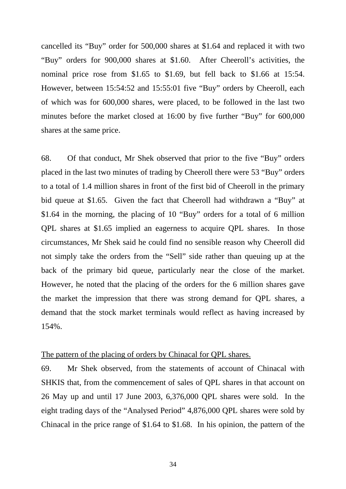cancelled its "Buy" order for 500,000 shares at \$1.64 and replaced it with two "Buy" orders for 900,000 shares at \$1.60. After Cheeroll's activities, the nominal price rose from \$1.65 to \$1.69, but fell back to \$1.66 at 15:54. However, between 15:54:52 and 15:55:01 five "Buy" orders by Cheeroll, each of which was for 600,000 shares, were placed, to be followed in the last two minutes before the market closed at 16:00 by five further "Buy" for 600,000 shares at the same price.

68. Of that conduct, Mr Shek observed that prior to the five "Buy" orders placed in the last two minutes of trading by Cheeroll there were 53 "Buy" orders to a total of 1.4 million shares in front of the first bid of Cheeroll in the primary bid queue at \$1.65. Given the fact that Cheeroll had withdrawn a "Buy" at \$1.64 in the morning, the placing of 10 "Buy" orders for a total of 6 million QPL shares at \$1.65 implied an eagerness to acquire QPL shares. In those circumstances, Mr Shek said he could find no sensible reason why Cheeroll did not simply take the orders from the "Sell" side rather than queuing up at the back of the primary bid queue, particularly near the close of the market. However, he noted that the placing of the orders for the 6 million shares gave the market the impression that there was strong demand for QPL shares, a demand that the stock market terminals would reflect as having increased by 154%.

## The pattern of the placing of orders by Chinacal for QPL shares.

69. Mr Shek observed, from the statements of account of Chinacal with SHKIS that, from the commencement of sales of QPL shares in that account on 26 May up and until 17 June 2003, 6,376,000 QPL shares were sold. In the eight trading days of the "Analysed Period" 4,876,000 QPL shares were sold by Chinacal in the price range of \$1.64 to \$1.68. In his opinion, the pattern of the

34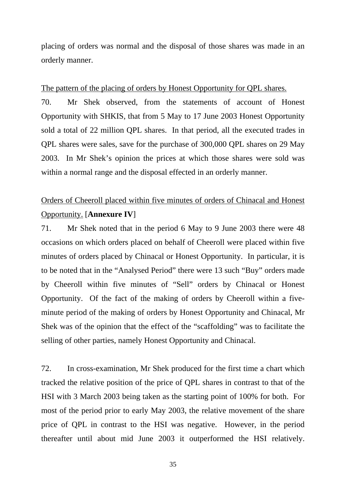placing of orders was normal and the disposal of those shares was made in an orderly manner.

The pattern of the placing of orders by Honest Opportunity for QPL shares.

70. Mr Shek observed, from the statements of account of Honest Opportunity with SHKIS, that from 5 May to 17 June 2003 Honest Opportunity sold a total of 22 million QPL shares. In that period, all the executed trades in QPL shares were sales, save for the purchase of 300,000 QPL shares on 29 May 2003. In Mr Shek's opinion the prices at which those shares were sold was within a normal range and the disposal effected in an orderly manner.

# Orders of Cheeroll placed within five minutes of orders of Chinacal and Honest Opportunity. [**Annexure IV**]

71. Mr Shek noted that in the period 6 May to 9 June 2003 there were 48 occasions on which orders placed on behalf of Cheeroll were placed within five minutes of orders placed by Chinacal or Honest Opportunity. In particular, it is to be noted that in the "Analysed Period" there were 13 such "Buy" orders made by Cheeroll within five minutes of "Sell" orders by Chinacal or Honest Opportunity. Of the fact of the making of orders by Cheeroll within a fiveminute period of the making of orders by Honest Opportunity and Chinacal, Mr Shek was of the opinion that the effect of the "scaffolding" was to facilitate the selling of other parties, namely Honest Opportunity and Chinacal.

72. In cross-examination, Mr Shek produced for the first time a chart which tracked the relative position of the price of QPL shares in contrast to that of the HSI with 3 March 2003 being taken as the starting point of 100% for both. For most of the period prior to early May 2003, the relative movement of the share price of QPL in contrast to the HSI was negative. However, in the period thereafter until about mid June 2003 it outperformed the HSI relatively.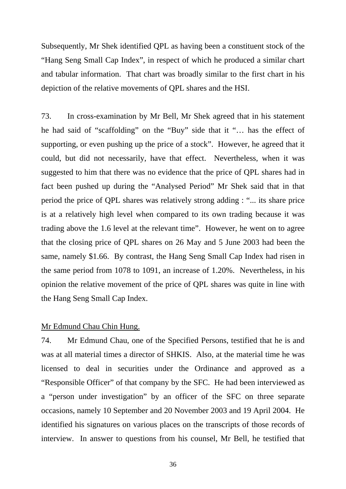Subsequently, Mr Shek identified QPL as having been a constituent stock of the "Hang Seng Small Cap Index", in respect of which he produced a similar chart and tabular information. That chart was broadly similar to the first chart in his depiction of the relative movements of QPL shares and the HSI.

73. In cross-examination by Mr Bell, Mr Shek agreed that in his statement he had said of "scaffolding" on the "Buy" side that it "… has the effect of supporting, or even pushing up the price of a stock". However, he agreed that it could, but did not necessarily, have that effect. Nevertheless, when it was suggested to him that there was no evidence that the price of QPL shares had in fact been pushed up during the "Analysed Period" Mr Shek said that in that period the price of QPL shares was relatively strong adding : "... its share price is at a relatively high level when compared to its own trading because it was trading above the 1.6 level at the relevant time". However, he went on to agree that the closing price of QPL shares on 26 May and 5 June 2003 had been the same, namely \$1.66. By contrast, the Hang Seng Small Cap Index had risen in the same period from 1078 to 1091, an increase of 1.20%. Nevertheless, in his opinion the relative movement of the price of QPL shares was quite in line with the Hang Seng Small Cap Index.

#### Mr Edmund Chau Chin Hung.

74. Mr Edmund Chau, one of the Specified Persons, testified that he is and was at all material times a director of SHKIS. Also, at the material time he was licensed to deal in securities under the Ordinance and approved as a "Responsible Officer" of that company by the SFC. He had been interviewed as a "person under investigation" by an officer of the SFC on three separate occasions, namely 10 September and 20 November 2003 and 19 April 2004. He identified his signatures on various places on the transcripts of those records of interview. In answer to questions from his counsel, Mr Bell, he testified that

36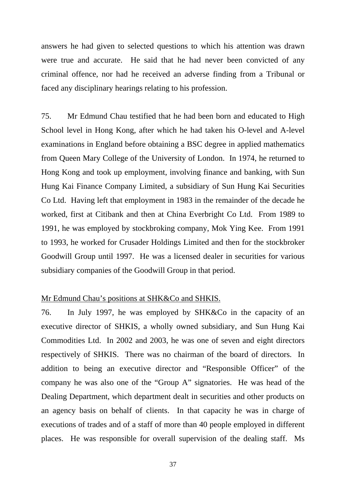answers he had given to selected questions to which his attention was drawn were true and accurate. He said that he had never been convicted of any criminal offence, nor had he received an adverse finding from a Tribunal or faced any disciplinary hearings relating to his profession.

75. Mr Edmund Chau testified that he had been born and educated to High School level in Hong Kong, after which he had taken his O-level and A-level examinations in England before obtaining a BSC degree in applied mathematics from Queen Mary College of the University of London. In 1974, he returned to Hong Kong and took up employment, involving finance and banking, with Sun Hung Kai Finance Company Limited, a subsidiary of Sun Hung Kai Securities Co Ltd. Having left that employment in 1983 in the remainder of the decade he worked, first at Citibank and then at China Everbright Co Ltd. From 1989 to 1991, he was employed by stockbroking company, Mok Ying Kee. From 1991 to 1993, he worked for Crusader Holdings Limited and then for the stockbroker Goodwill Group until 1997. He was a licensed dealer in securities for various subsidiary companies of the Goodwill Group in that period.

### Mr Edmund Chau's positions at SHK&Co and SHKIS.

76. In July 1997, he was employed by SHK&Co in the capacity of an executive director of SHKIS, a wholly owned subsidiary, and Sun Hung Kai Commodities Ltd. In 2002 and 2003, he was one of seven and eight directors respectively of SHKIS. There was no chairman of the board of directors. In addition to being an executive director and "Responsible Officer" of the company he was also one of the "Group A" signatories. He was head of the Dealing Department, which department dealt in securities and other products on an agency basis on behalf of clients. In that capacity he was in charge of executions of trades and of a staff of more than 40 people employed in different places. He was responsible for overall supervision of the dealing staff. Ms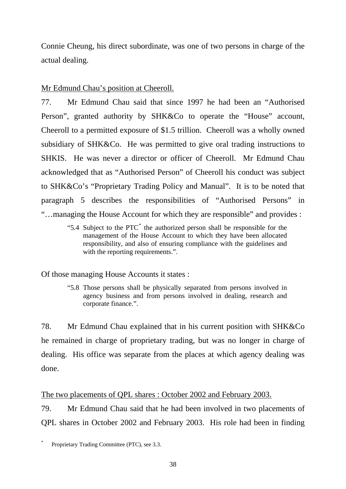Connie Cheung, his direct subordinate, was one of two persons in charge of the actual dealing.

Mr Edmund Chau's position at Cheeroll.

77. Mr Edmund Chau said that since 1997 he had been an "Authorised Person", granted authority by SHK&Co to operate the "House" account, Cheeroll to a permitted exposure of \$1.5 trillion. Cheeroll was a wholly owned subsidiary of SHK&Co. He was permitted to give oral trading instructions to SHKIS. He was never a director or officer of Cheeroll. Mr Edmund Chau acknowledged that as "Authorised Person" of Cheeroll his conduct was subject to SHK&Co's "Proprietary Trading Policy and Manual". It is to be noted that paragraph 5 describes the responsibilities of "Authorised Persons" in "…managing the House Account for which they are responsible" and provides :

> "5.4 Subject to the  $PTC^*$  $PTC^*$  the authorized person shall be responsible for the management of the House Account to which they have been allocated responsibility, and also of ensuring compliance with the guidelines and with the reporting requirements.".

Of those managing House Accounts it states :

"5.8 Those persons shall be physically separated from persons involved in agency business and from persons involved in dealing, research and corporate finance.".

78. Mr Edmund Chau explained that in his current position with SHK&Co he remained in charge of proprietary trading, but was no longer in charge of dealing. His office was separate from the places at which agency dealing was done.

# The two placements of QPL shares : October 2002 and February 2003.

79. Mr Edmund Chau said that he had been involved in two placements of QPL shares in October 2002 and February 2003. His role had been in finding

<span id="page-37-0"></span><sup>\*</sup> Proprietary Trading Committee (PTC), see 3.3.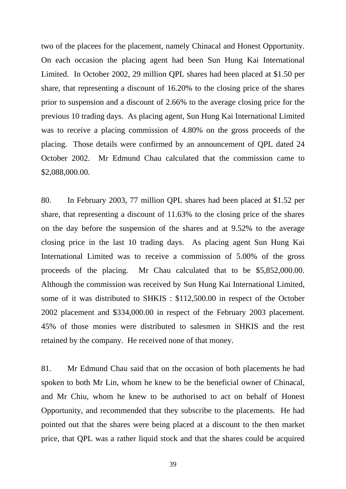two of the placees for the placement, namely Chinacal and Honest Opportunity. On each occasion the placing agent had been Sun Hung Kai International Limited. In October 2002, 29 million QPL shares had been placed at \$1.50 per share, that representing a discount of 16.20% to the closing price of the shares prior to suspension and a discount of 2.66% to the average closing price for the previous 10 trading days. As placing agent, Sun Hung Kai International Limited was to receive a placing commission of 4.80% on the gross proceeds of the placing. Those details were confirmed by an announcement of QPL dated 24 October 2002. Mr Edmund Chau calculated that the commission came to \$2,088,000.00.

80. In February 2003, 77 million QPL shares had been placed at \$1.52 per share, that representing a discount of 11.63% to the closing price of the shares on the day before the suspension of the shares and at 9.52% to the average closing price in the last 10 trading days. As placing agent Sun Hung Kai International Limited was to receive a commission of 5.00% of the gross proceeds of the placing. Mr Chau calculated that to be \$5,852,000.00. Although the commission was received by Sun Hung Kai International Limited, some of it was distributed to SHKIS : \$112,500.00 in respect of the October 2002 placement and \$334,000.00 in respect of the February 2003 placement. 45% of those monies were distributed to salesmen in SHKIS and the rest retained by the company. He received none of that money.

81. Mr Edmund Chau said that on the occasion of both placements he had spoken to both Mr Lin, whom he knew to be the beneficial owner of Chinacal, and Mr Chiu, whom he knew to be authorised to act on behalf of Honest Opportunity, and recommended that they subscribe to the placements. He had pointed out that the shares were being placed at a discount to the then market price, that QPL was a rather liquid stock and that the shares could be acquired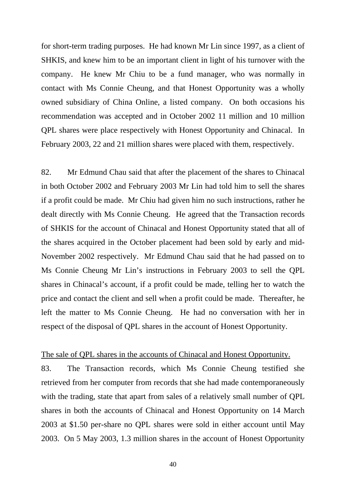for short-term trading purposes. He had known Mr Lin since 1997, as a client of SHKIS, and knew him to be an important client in light of his turnover with the company. He knew Mr Chiu to be a fund manager, who was normally in contact with Ms Connie Cheung, and that Honest Opportunity was a wholly owned subsidiary of China Online, a listed company. On both occasions his recommendation was accepted and in October 2002 11 million and 10 million QPL shares were place respectively with Honest Opportunity and Chinacal. In February 2003, 22 and 21 million shares were placed with them, respectively.

82. Mr Edmund Chau said that after the placement of the shares to Chinacal in both October 2002 and February 2003 Mr Lin had told him to sell the shares if a profit could be made. Mr Chiu had given him no such instructions, rather he dealt directly with Ms Connie Cheung. He agreed that the Transaction records of SHKIS for the account of Chinacal and Honest Opportunity stated that all of the shares acquired in the October placement had been sold by early and mid-November 2002 respectively. Mr Edmund Chau said that he had passed on to Ms Connie Cheung Mr Lin's instructions in February 2003 to sell the QPL shares in Chinacal's account, if a profit could be made, telling her to watch the price and contact the client and sell when a profit could be made. Thereafter, he left the matter to Ms Connie Cheung. He had no conversation with her in respect of the disposal of QPL shares in the account of Honest Opportunity.

### The sale of QPL shares in the accounts of Chinacal and Honest Opportunity.

83. The Transaction records, which Ms Connie Cheung testified she retrieved from her computer from records that she had made contemporaneously with the trading, state that apart from sales of a relatively small number of QPL shares in both the accounts of Chinacal and Honest Opportunity on 14 March 2003 at \$1.50 per-share no QPL shares were sold in either account until May 2003. On 5 May 2003, 1.3 million shares in the account of Honest Opportunity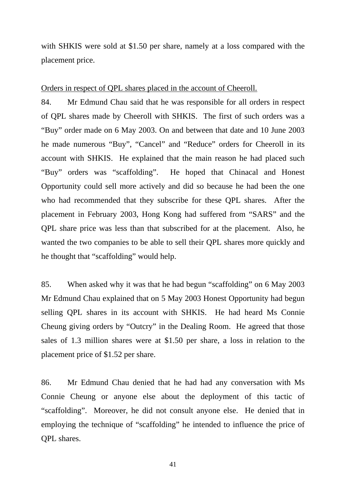with SHKIS were sold at \$1.50 per share, namely at a loss compared with the placement price.

#### Orders in respect of QPL shares placed in the account of Cheeroll.

84. Mr Edmund Chau said that he was responsible for all orders in respect of QPL shares made by Cheeroll with SHKIS. The first of such orders was a "Buy" order made on 6 May 2003. On and between that date and 10 June 2003 he made numerous "Buy", "Cancel" and "Reduce" orders for Cheeroll in its account with SHKIS. He explained that the main reason he had placed such "Buy" orders was "scaffolding". He hoped that Chinacal and Honest Opportunity could sell more actively and did so because he had been the one who had recommended that they subscribe for these QPL shares. After the placement in February 2003, Hong Kong had suffered from "SARS" and the QPL share price was less than that subscribed for at the placement. Also, he wanted the two companies to be able to sell their QPL shares more quickly and he thought that "scaffolding" would help.

85. When asked why it was that he had begun "scaffolding" on 6 May 2003 Mr Edmund Chau explained that on 5 May 2003 Honest Opportunity had begun selling QPL shares in its account with SHKIS. He had heard Ms Connie Cheung giving orders by "Outcry" in the Dealing Room. He agreed that those sales of 1.3 million shares were at \$1.50 per share, a loss in relation to the placement price of \$1.52 per share.

86. Mr Edmund Chau denied that he had had any conversation with Ms Connie Cheung or anyone else about the deployment of this tactic of "scaffolding". Moreover, he did not consult anyone else. He denied that in employing the technique of "scaffolding" he intended to influence the price of QPL shares.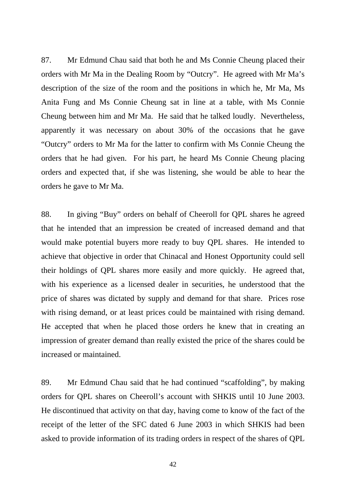87. Mr Edmund Chau said that both he and Ms Connie Cheung placed their orders with Mr Ma in the Dealing Room by "Outcry". He agreed with Mr Ma's description of the size of the room and the positions in which he, Mr Ma, Ms Anita Fung and Ms Connie Cheung sat in line at a table, with Ms Connie Cheung between him and Mr Ma. He said that he talked loudly. Nevertheless, apparently it was necessary on about 30% of the occasions that he gave "Outcry" orders to Mr Ma for the latter to confirm with Ms Connie Cheung the orders that he had given. For his part, he heard Ms Connie Cheung placing orders and expected that, if she was listening, she would be able to hear the orders he gave to Mr Ma.

88. In giving "Buy" orders on behalf of Cheeroll for QPL shares he agreed that he intended that an impression be created of increased demand and that would make potential buyers more ready to buy QPL shares. He intended to achieve that objective in order that Chinacal and Honest Opportunity could sell their holdings of QPL shares more easily and more quickly. He agreed that, with his experience as a licensed dealer in securities, he understood that the price of shares was dictated by supply and demand for that share. Prices rose with rising demand, or at least prices could be maintained with rising demand. He accepted that when he placed those orders he knew that in creating an impression of greater demand than really existed the price of the shares could be increased or maintained.

89. Mr Edmund Chau said that he had continued "scaffolding", by making orders for QPL shares on Cheeroll's account with SHKIS until 10 June 2003. He discontinued that activity on that day, having come to know of the fact of the receipt of the letter of the SFC dated 6 June 2003 in which SHKIS had been asked to provide information of its trading orders in respect of the shares of QPL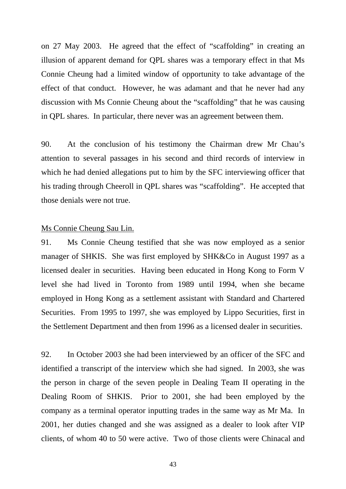on 27 May 2003. He agreed that the effect of "scaffolding" in creating an illusion of apparent demand for QPL shares was a temporary effect in that Ms Connie Cheung had a limited window of opportunity to take advantage of the effect of that conduct. However, he was adamant and that he never had any discussion with Ms Connie Cheung about the "scaffolding" that he was causing in QPL shares. In particular, there never was an agreement between them.

90. At the conclusion of his testimony the Chairman drew Mr Chau's attention to several passages in his second and third records of interview in which he had denied allegations put to him by the SFC interviewing officer that his trading through Cheeroll in QPL shares was "scaffolding". He accepted that those denials were not true.

### Ms Connie Cheung Sau Lin.

91. Ms Connie Cheung testified that she was now employed as a senior manager of SHKIS. She was first employed by SHK&Co in August 1997 as a licensed dealer in securities. Having been educated in Hong Kong to Form V level she had lived in Toronto from 1989 until 1994, when she became employed in Hong Kong as a settlement assistant with Standard and Chartered Securities. From 1995 to 1997, she was employed by Lippo Securities, first in the Settlement Department and then from 1996 as a licensed dealer in securities.

92. In October 2003 she had been interviewed by an officer of the SFC and identified a transcript of the interview which she had signed. In 2003, she was the person in charge of the seven people in Dealing Team II operating in the Dealing Room of SHKIS. Prior to 2001, she had been employed by the company as a terminal operator inputting trades in the same way as Mr Ma. In 2001, her duties changed and she was assigned as a dealer to look after VIP clients, of whom 40 to 50 were active. Two of those clients were Chinacal and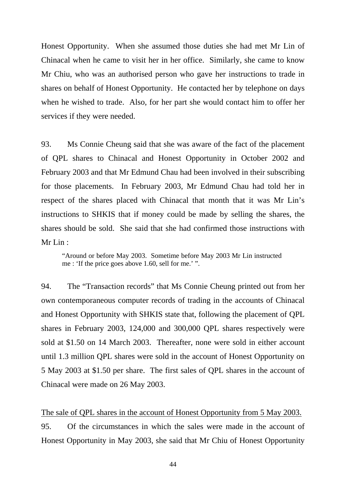Honest Opportunity. When she assumed those duties she had met Mr Lin of Chinacal when he came to visit her in her office. Similarly, she came to know Mr Chiu, who was an authorised person who gave her instructions to trade in shares on behalf of Honest Opportunity. He contacted her by telephone on days when he wished to trade. Also, for her part she would contact him to offer her services if they were needed.

93. Ms Connie Cheung said that she was aware of the fact of the placement of QPL shares to Chinacal and Honest Opportunity in October 2002 and February 2003 and that Mr Edmund Chau had been involved in their subscribing for those placements. In February 2003, Mr Edmund Chau had told her in respect of the shares placed with Chinacal that month that it was Mr Lin's instructions to SHKIS that if money could be made by selling the shares, the shares should be sold. She said that she had confirmed those instructions with Mr Lin :

"Around or before May 2003. Sometime before May 2003 Mr Lin instructed me : 'If the price goes above 1.60, sell for me.' ".

94. The "Transaction records" that Ms Connie Cheung printed out from her own contemporaneous computer records of trading in the accounts of Chinacal and Honest Opportunity with SHKIS state that, following the placement of QPL shares in February 2003, 124,000 and 300,000 QPL shares respectively were sold at \$1.50 on 14 March 2003. Thereafter, none were sold in either account until 1.3 million QPL shares were sold in the account of Honest Opportunity on 5 May 2003 at \$1.50 per share. The first sales of QPL shares in the account of Chinacal were made on 26 May 2003.

The sale of QPL shares in the account of Honest Opportunity from 5 May 2003. 95. Of the circumstances in which the sales were made in the account of Honest Opportunity in May 2003, she said that Mr Chiu of Honest Opportunity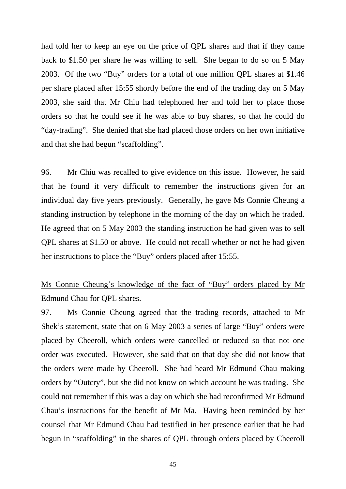had told her to keep an eye on the price of QPL shares and that if they came back to \$1.50 per share he was willing to sell. She began to do so on 5 May 2003. Of the two "Buy" orders for a total of one million QPL shares at \$1.46 per share placed after 15:55 shortly before the end of the trading day on 5 May 2003, she said that Mr Chiu had telephoned her and told her to place those orders so that he could see if he was able to buy shares, so that he could do "day-trading". She denied that she had placed those orders on her own initiative and that she had begun "scaffolding".

96. Mr Chiu was recalled to give evidence on this issue. However, he said that he found it very difficult to remember the instructions given for an individual day five years previously. Generally, he gave Ms Connie Cheung a standing instruction by telephone in the morning of the day on which he traded. He agreed that on 5 May 2003 the standing instruction he had given was to sell QPL shares at \$1.50 or above. He could not recall whether or not he had given her instructions to place the "Buy" orders placed after 15:55.

# Ms Connie Cheung's knowledge of the fact of "Buy" orders placed by Mr Edmund Chau for QPL shares.

97. Ms Connie Cheung agreed that the trading records, attached to Mr Shek's statement, state that on 6 May 2003 a series of large "Buy" orders were placed by Cheeroll, which orders were cancelled or reduced so that not one order was executed. However, she said that on that day she did not know that the orders were made by Cheeroll. She had heard Mr Edmund Chau making orders by "Outcry", but she did not know on which account he was trading. She could not remember if this was a day on which she had reconfirmed Mr Edmund Chau's instructions for the benefit of Mr Ma. Having been reminded by her counsel that Mr Edmund Chau had testified in her presence earlier that he had begun in "scaffolding" in the shares of QPL through orders placed by Cheeroll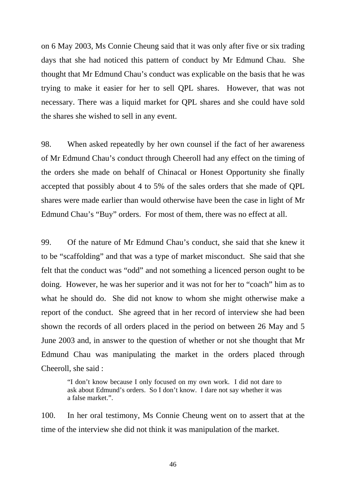on 6 May 2003, Ms Connie Cheung said that it was only after five or six trading days that she had noticed this pattern of conduct by Mr Edmund Chau. She thought that Mr Edmund Chau's conduct was explicable on the basis that he was trying to make it easier for her to sell QPL shares. However, that was not necessary. There was a liquid market for QPL shares and she could have sold the shares she wished to sell in any event.

98. When asked repeatedly by her own counsel if the fact of her awareness of Mr Edmund Chau's conduct through Cheeroll had any effect on the timing of the orders she made on behalf of Chinacal or Honest Opportunity she finally accepted that possibly about 4 to 5% of the sales orders that she made of QPL shares were made earlier than would otherwise have been the case in light of Mr Edmund Chau's "Buy" orders. For most of them, there was no effect at all.

99. Of the nature of Mr Edmund Chau's conduct, she said that she knew it to be "scaffolding" and that was a type of market misconduct. She said that she felt that the conduct was "odd" and not something a licenced person ought to be doing. However, he was her superior and it was not for her to "coach" him as to what he should do. She did not know to whom she might otherwise make a report of the conduct. She agreed that in her record of interview she had been shown the records of all orders placed in the period on between 26 May and 5 June 2003 and, in answer to the question of whether or not she thought that Mr Edmund Chau was manipulating the market in the orders placed through Cheeroll, she said :

"I don't know because I only focused on my own work. I did not dare to ask about Edmund's orders. So I don't know. I dare not say whether it was a false market.".

100. In her oral testimony, Ms Connie Cheung went on to assert that at the time of the interview she did not think it was manipulation of the market.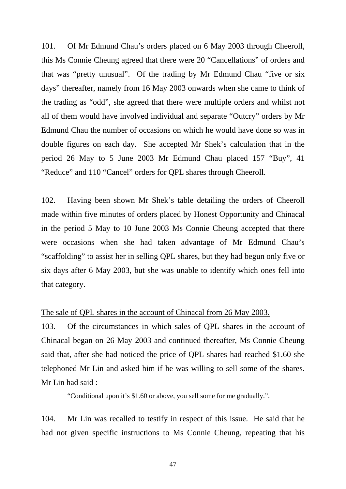101. Of Mr Edmund Chau's orders placed on 6 May 2003 through Cheeroll, this Ms Connie Cheung agreed that there were 20 "Cancellations" of orders and that was "pretty unusual". Of the trading by Mr Edmund Chau "five or six days" thereafter, namely from 16 May 2003 onwards when she came to think of the trading as "odd", she agreed that there were multiple orders and whilst not all of them would have involved individual and separate "Outcry" orders by Mr Edmund Chau the number of occasions on which he would have done so was in double figures on each day. She accepted Mr Shek's calculation that in the period 26 May to 5 June 2003 Mr Edmund Chau placed 157 "Buy", 41 "Reduce" and 110 "Cancel" orders for QPL shares through Cheeroll.

102. Having been shown Mr Shek's table detailing the orders of Cheeroll made within five minutes of orders placed by Honest Opportunity and Chinacal in the period 5 May to 10 June 2003 Ms Connie Cheung accepted that there were occasions when she had taken advantage of Mr Edmund Chau's "scaffolding" to assist her in selling QPL shares, but they had begun only five or six days after 6 May 2003, but she was unable to identify which ones fell into that category.

### The sale of QPL shares in the account of Chinacal from 26 May 2003.

103. Of the circumstances in which sales of QPL shares in the account of Chinacal began on 26 May 2003 and continued thereafter, Ms Connie Cheung said that, after she had noticed the price of QPL shares had reached \$1.60 she telephoned Mr Lin and asked him if he was willing to sell some of the shares. Mr Lin had said :

"Conditional upon it's \$1.60 or above, you sell some for me gradually.".

104. Mr Lin was recalled to testify in respect of this issue. He said that he had not given specific instructions to Ms Connie Cheung, repeating that his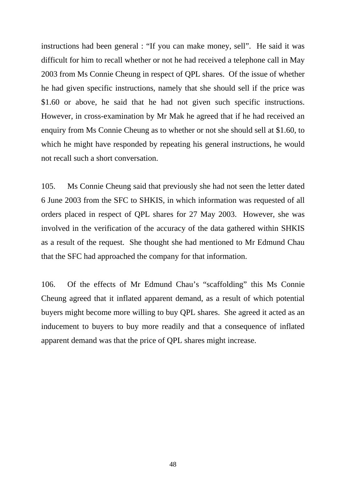instructions had been general : "If you can make money, sell". He said it was difficult for him to recall whether or not he had received a telephone call in May 2003 from Ms Connie Cheung in respect of QPL shares. Of the issue of whether he had given specific instructions, namely that she should sell if the price was \$1.60 or above, he said that he had not given such specific instructions. However, in cross-examination by Mr Mak he agreed that if he had received an enquiry from Ms Connie Cheung as to whether or not she should sell at \$1.60, to which he might have responded by repeating his general instructions, he would not recall such a short conversation.

105. Ms Connie Cheung said that previously she had not seen the letter dated 6 June 2003 from the SFC to SHKIS, in which information was requested of all orders placed in respect of QPL shares for 27 May 2003. However, she was involved in the verification of the accuracy of the data gathered within SHKIS as a result of the request. She thought she had mentioned to Mr Edmund Chau that the SFC had approached the company for that information.

106. Of the effects of Mr Edmund Chau's "scaffolding" this Ms Connie Cheung agreed that it inflated apparent demand, as a result of which potential buyers might become more willing to buy QPL shares. She agreed it acted as an inducement to buyers to buy more readily and that a consequence of inflated apparent demand was that the price of QPL shares might increase.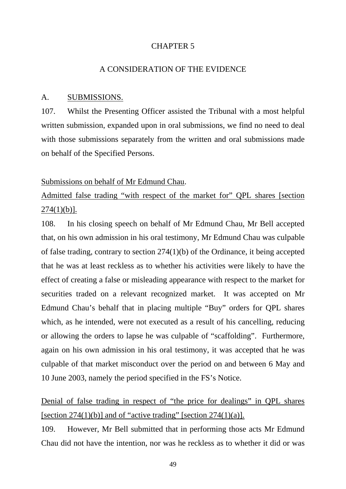# CHAPTER 5

### A CONSIDERATION OF THE EVIDENCE

### A. SUBMISSIONS.

107. Whilst the Presenting Officer assisted the Tribunal with a most helpful written submission, expanded upon in oral submissions, we find no need to deal with those submissions separately from the written and oral submissions made on behalf of the Specified Persons.

### Submissions on behalf of Mr Edmund Chau.

Admitted false trading "with respect of the market for" QPL shares [section  $274(1)(b)$ ].

108. In his closing speech on behalf of Mr Edmund Chau, Mr Bell accepted that, on his own admission in his oral testimony, Mr Edmund Chau was culpable of false trading, contrary to section 274(1)(b) of the Ordinance, it being accepted that he was at least reckless as to whether his activities were likely to have the effect of creating a false or misleading appearance with respect to the market for securities traded on a relevant recognized market. It was accepted on Mr Edmund Chau's behalf that in placing multiple "Buy" orders for QPL shares which, as he intended, were not executed as a result of his cancelling, reducing or allowing the orders to lapse he was culpable of "scaffolding". Furthermore, again on his own admission in his oral testimony, it was accepted that he was culpable of that market misconduct over the period on and between 6 May and 10 June 2003, namely the period specified in the FS's Notice.

Denial of false trading in respect of "the price for dealings" in QPL shares [section  $274(1)(b)$ ] and of "active trading" [section  $274(1)(a)$ ].

109. However, Mr Bell submitted that in performing those acts Mr Edmund Chau did not have the intention, nor was he reckless as to whether it did or was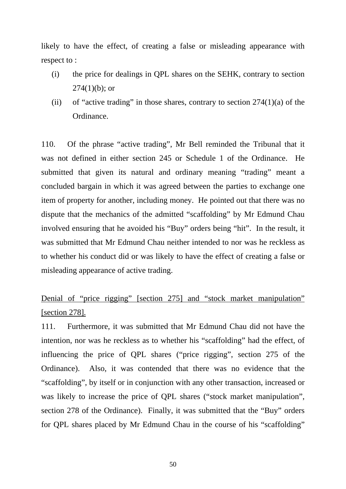likely to have the effect, of creating a false or misleading appearance with respect to :

- (i) the price for dealings in QPL shares on the SEHK, contrary to section  $274(1)(b)$ ; or
- (ii) of "active trading" in those shares, contrary to section  $274(1)(a)$  of the Ordinance.

110. Of the phrase "active trading", Mr Bell reminded the Tribunal that it was not defined in either section 245 or Schedule 1 of the Ordinance. He submitted that given its natural and ordinary meaning "trading" meant a concluded bargain in which it was agreed between the parties to exchange one item of property for another, including money. He pointed out that there was no dispute that the mechanics of the admitted "scaffolding" by Mr Edmund Chau involved ensuring that he avoided his "Buy" orders being "hit". In the result, it was submitted that Mr Edmund Chau neither intended to nor was he reckless as to whether his conduct did or was likely to have the effect of creating a false or misleading appearance of active trading.

Denial of "price rigging" [section 275] and "stock market manipulation" [section 278].

111. Furthermore, it was submitted that Mr Edmund Chau did not have the intention, nor was he reckless as to whether his "scaffolding" had the effect, of influencing the price of QPL shares ("price rigging", section 275 of the Ordinance). Also, it was contended that there was no evidence that the "scaffolding", by itself or in conjunction with any other transaction, increased or was likely to increase the price of OPL shares ("stock market manipulation", section 278 of the Ordinance). Finally, it was submitted that the "Buy" orders for QPL shares placed by Mr Edmund Chau in the course of his "scaffolding"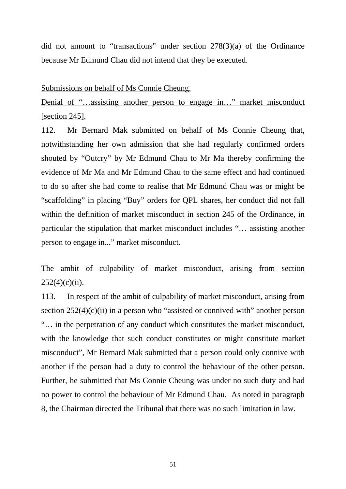did not amount to "transactions" under section 278(3)(a) of the Ordinance because Mr Edmund Chau did not intend that they be executed.

## Submissions on behalf of Ms Connie Cheung.

Denial of "…assisting another person to engage in…" market misconduct [section 245].

112. Mr Bernard Mak submitted on behalf of Ms Connie Cheung that, notwithstanding her own admission that she had regularly confirmed orders shouted by "Outcry" by Mr Edmund Chau to Mr Ma thereby confirming the evidence of Mr Ma and Mr Edmund Chau to the same effect and had continued to do so after she had come to realise that Mr Edmund Chau was or might be "scaffolding" in placing "Buy" orders for QPL shares, her conduct did not fall within the definition of market misconduct in section 245 of the Ordinance, in particular the stipulation that market misconduct includes "… assisting another person to engage in..." market misconduct.

The ambit of culpability of market misconduct, arising from section  $252(4)(c)(ii)$ .

113. In respect of the ambit of culpability of market misconduct, arising from section  $252(4)(c)(ii)$  in a person who "assisted or connived with" another person "… in the perpetration of any conduct which constitutes the market misconduct, with the knowledge that such conduct constitutes or might constitute market misconduct", Mr Bernard Mak submitted that a person could only connive with another if the person had a duty to control the behaviour of the other person. Further, he submitted that Ms Connie Cheung was under no such duty and had no power to control the behaviour of Mr Edmund Chau. As noted in paragraph 8, the Chairman directed the Tribunal that there was no such limitation in law.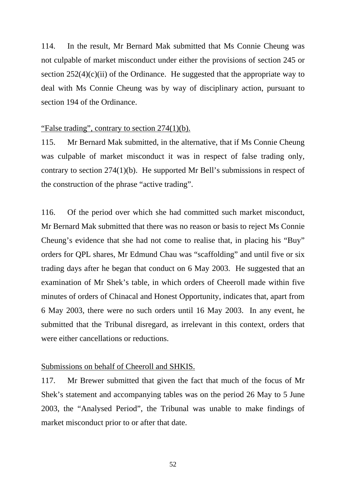114. In the result, Mr Bernard Mak submitted that Ms Connie Cheung was not culpable of market misconduct under either the provisions of section 245 or section  $252(4)(c)(ii)$  of the Ordinance. He suggested that the appropriate way to deal with Ms Connie Cheung was by way of disciplinary action, pursuant to section 194 of the Ordinance.

### "False trading", contrary to section 274(1)(b).

115. Mr Bernard Mak submitted, in the alternative, that if Ms Connie Cheung was culpable of market misconduct it was in respect of false trading only, contrary to section 274(1)(b). He supported Mr Bell's submissions in respect of the construction of the phrase "active trading".

116. Of the period over which she had committed such market misconduct, Mr Bernard Mak submitted that there was no reason or basis to reject Ms Connie Cheung's evidence that she had not come to realise that, in placing his "Buy" orders for QPL shares, Mr Edmund Chau was "scaffolding" and until five or six trading days after he began that conduct on 6 May 2003. He suggested that an examination of Mr Shek's table, in which orders of Cheeroll made within five minutes of orders of Chinacal and Honest Opportunity, indicates that, apart from 6 May 2003, there were no such orders until 16 May 2003. In any event, he submitted that the Tribunal disregard, as irrelevant in this context, orders that were either cancellations or reductions.

### Submissions on behalf of Cheeroll and SHKIS.

117. Mr Brewer submitted that given the fact that much of the focus of Mr Shek's statement and accompanying tables was on the period 26 May to 5 June 2003, the "Analysed Period", the Tribunal was unable to make findings of market misconduct prior to or after that date.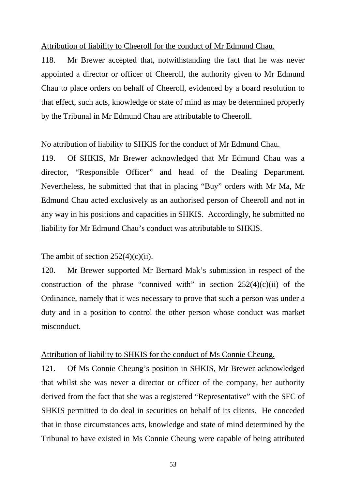# Attribution of liability to Cheeroll for the conduct of Mr Edmund Chau.

118. Mr Brewer accepted that, notwithstanding the fact that he was never appointed a director or officer of Cheeroll, the authority given to Mr Edmund Chau to place orders on behalf of Cheeroll, evidenced by a board resolution to that effect, such acts, knowledge or state of mind as may be determined properly by the Tribunal in Mr Edmund Chau are attributable to Cheeroll.

### No attribution of liability to SHKIS for the conduct of Mr Edmund Chau.

119. Of SHKIS, Mr Brewer acknowledged that Mr Edmund Chau was a director, "Responsible Officer" and head of the Dealing Department. Nevertheless, he submitted that that in placing "Buy" orders with Mr Ma, Mr Edmund Chau acted exclusively as an authorised person of Cheeroll and not in any way in his positions and capacities in SHKIS. Accordingly, he submitted no liability for Mr Edmund Chau's conduct was attributable to SHKIS.

# The ambit of section  $252(4)(c)(ii)$ .

120. Mr Brewer supported Mr Bernard Mak's submission in respect of the construction of the phrase "connived with" in section  $252(4)(c)(ii)$  of the Ordinance, namely that it was necessary to prove that such a person was under a duty and in a position to control the other person whose conduct was market misconduct.

### Attribution of liability to SHKIS for the conduct of Ms Connie Cheung.

121. Of Ms Connie Cheung's position in SHKIS, Mr Brewer acknowledged that whilst she was never a director or officer of the company, her authority derived from the fact that she was a registered "Representative" with the SFC of SHKIS permitted to do deal in securities on behalf of its clients. He conceded that in those circumstances acts, knowledge and state of mind determined by the Tribunal to have existed in Ms Connie Cheung were capable of being attributed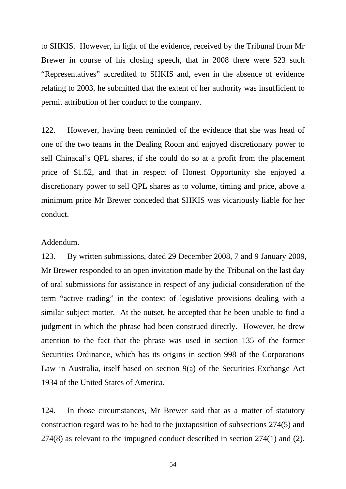to SHKIS. However, in light of the evidence, received by the Tribunal from Mr Brewer in course of his closing speech, that in 2008 there were 523 such "Representatives" accredited to SHKIS and, even in the absence of evidence relating to 2003, he submitted that the extent of her authority was insufficient to permit attribution of her conduct to the company.

122. However, having been reminded of the evidence that she was head of one of the two teams in the Dealing Room and enjoyed discretionary power to sell Chinacal's QPL shares, if she could do so at a profit from the placement price of \$1.52, and that in respect of Honest Opportunity she enjoyed a discretionary power to sell QPL shares as to volume, timing and price, above a minimum price Mr Brewer conceded that SHKIS was vicariously liable for her conduct.

#### Addendum.

123. By written submissions, dated 29 December 2008, 7 and 9 January 2009, Mr Brewer responded to an open invitation made by the Tribunal on the last day of oral submissions for assistance in respect of any judicial consideration of the term "active trading" in the context of legislative provisions dealing with a similar subject matter. At the outset, he accepted that he been unable to find a judgment in which the phrase had been construed directly. However, he drew attention to the fact that the phrase was used in section 135 of the former Securities Ordinance, which has its origins in section 998 of the Corporations Law in Australia, itself based on section 9(a) of the Securities Exchange Act 1934 of the United States of America.

124. In those circumstances, Mr Brewer said that as a matter of statutory construction regard was to be had to the juxtaposition of subsections 274(5) and 274(8) as relevant to the impugned conduct described in section 274(1) and (2).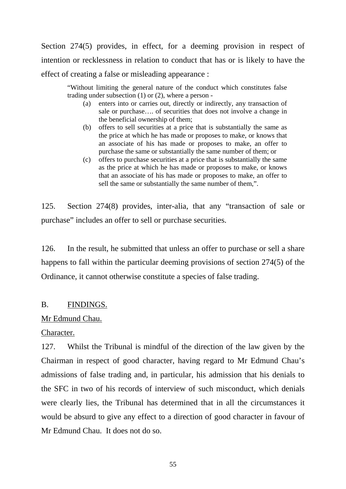Section 274(5) provides, in effect, for a deeming provision in respect of intention or recklessness in relation to conduct that has or is likely to have the effect of creating a false or misleading appearance :

"Without limiting the general nature of the conduct which constitutes false trading under subsection (1) or (2), where a person -

- (a) enters into or carries out, directly or indirectly, any transaction of sale or purchase…. of securities that does not involve a change in the beneficial ownership of them;
- (b) offers to sell securities at a price that is substantially the same as the price at which he has made or proposes to make, or knows that an associate of his has made or proposes to make, an offer to purchase the same or substantially the same number of them; or
- (c) offers to purchase securities at a price that is substantially the same as the price at which he has made or proposes to make, or knows that an associate of his has made or proposes to make, an offer to sell the same or substantially the same number of them,".

125. Section 274(8) provides, inter-alia, that any "transaction of sale or purchase" includes an offer to sell or purchase securities.

126. In the result, he submitted that unless an offer to purchase or sell a share happens to fall within the particular deeming provisions of section 274(5) of the Ordinance, it cannot otherwise constitute a species of false trading.

# B. FINDINGS.

# Mr Edmund Chau.

# Character.

127. Whilst the Tribunal is mindful of the direction of the law given by the Chairman in respect of good character, having regard to Mr Edmund Chau's admissions of false trading and, in particular, his admission that his denials to the SFC in two of his records of interview of such misconduct, which denials were clearly lies, the Tribunal has determined that in all the circumstances it would be absurd to give any effect to a direction of good character in favour of Mr Edmund Chau. It does not do so.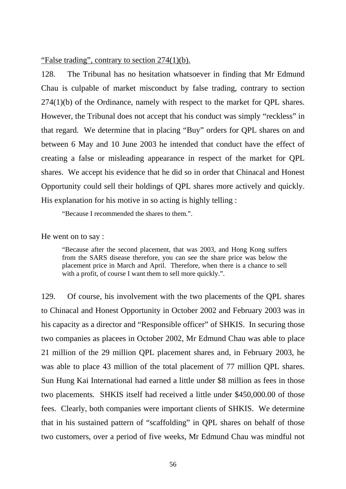"False trading", contrary to section 274(1)(b).

128. The Tribunal has no hesitation whatsoever in finding that Mr Edmund Chau is culpable of market misconduct by false trading, contrary to section 274(1)(b) of the Ordinance, namely with respect to the market for QPL shares. However, the Tribunal does not accept that his conduct was simply "reckless" in that regard. We determine that in placing "Buy" orders for QPL shares on and between 6 May and 10 June 2003 he intended that conduct have the effect of creating a false or misleading appearance in respect of the market for QPL shares. We accept his evidence that he did so in order that Chinacal and Honest Opportunity could sell their holdings of QPL shares more actively and quickly. His explanation for his motive in so acting is highly telling :

"Because I recommended the shares to them.".

#### He went on to say :

"Because after the second placement, that was 2003, and Hong Kong suffers from the SARS disease therefore, you can see the share price was below the placement price in March and April. Therefore, when there is a chance to sell with a profit, of course I want them to sell more quickly.".

129. Of course, his involvement with the two placements of the QPL shares to Chinacal and Honest Opportunity in October 2002 and February 2003 was in his capacity as a director and "Responsible officer" of SHKIS. In securing those two companies as placees in October 2002, Mr Edmund Chau was able to place 21 million of the 29 million QPL placement shares and, in February 2003, he was able to place 43 million of the total placement of 77 million QPL shares. Sun Hung Kai International had earned a little under \$8 million as fees in those two placements. SHKIS itself had received a little under \$450,000.00 of those fees. Clearly, both companies were important clients of SHKIS. We determine that in his sustained pattern of "scaffolding" in QPL shares on behalf of those two customers, over a period of five weeks, Mr Edmund Chau was mindful not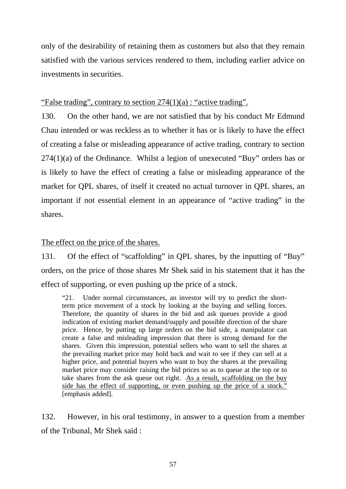only of the desirability of retaining them as customers but also that they remain satisfied with the various services rendered to them, including earlier advice on investments in securities.

# "False trading", contrary to section  $274(1)(a)$ : "active trading".

130. On the other hand, we are not satisfied that by his conduct Mr Edmund Chau intended or was reckless as to whether it has or is likely to have the effect of creating a false or misleading appearance of active trading, contrary to section  $274(1)(a)$  of the Ordinance. Whilst a legion of unexecuted "Buy" orders has or is likely to have the effect of creating a false or misleading appearance of the market for QPL shares, of itself it created no actual turnover in QPL shares, an important if not essential element in an appearance of "active trading" in the shares.

# The effect on the price of the shares.

131. Of the effect of "scaffolding" in QPL shares, by the inputting of "Buy" orders, on the price of those shares Mr Shek said in his statement that it has the effect of supporting, or even pushing up the price of a stock.

"21. Under normal circumstances, an investor will try to predict the shortterm price movement of a stock by looking at the buying and selling forces. Therefore, the quantity of shares in the bid and ask queues provide a good indication of existing market demand/supply and possible direction of the share price. Hence, by putting up large orders on the bid side, a manipulator can create a false and misleading impression that there is strong demand for the shares. Given this impression, potential sellers who want to sell the shares at the prevailing market price may hold back and wait to see if they can sell at a higher price, and potential buyers who want to buy the shares at the prevailing market price may consider raising the bid prices so as to queue at the top or to take shares from the ask queue out right. As a result, scaffolding on the buy side has the effect of supporting, or even pushing up the price of a stock." [emphasis added].

132. However, in his oral testimony, in answer to a question from a member of the Tribunal, Mr Shek said :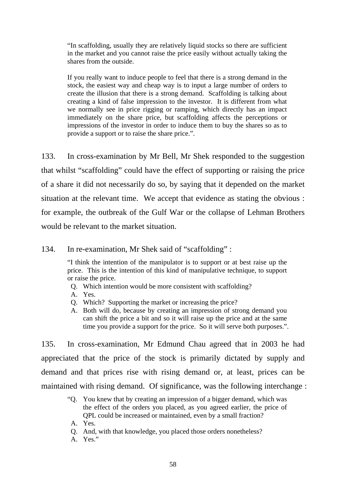"In scaffolding, usually they are relatively liquid stocks so there are sufficient in the market and you cannot raise the price easily without actually taking the shares from the outside.

If you really want to induce people to feel that there is a strong demand in the stock, the easiest way and cheap way is to input a large number of orders to create the illusion that there is a strong demand. Scaffolding is talking about creating a kind of false impression to the investor. It is different from what we normally see in price rigging or ramping, which directly has an impact immediately on the share price, but scaffolding affects the perceptions or impressions of the investor in order to induce them to buy the shares so as to provide a support or to raise the share price.".

133. In cross-examination by Mr Bell, Mr Shek responded to the suggestion that whilst "scaffolding" could have the effect of supporting or raising the price of a share it did not necessarily do so, by saying that it depended on the market situation at the relevant time. We accept that evidence as stating the obvious : for example, the outbreak of the Gulf War or the collapse of Lehman Brothers would be relevant to the market situation.

134. In re-examination, Mr Shek said of "scaffolding" :

"I think the intention of the manipulator is to support or at best raise up the price. This is the intention of this kind of manipulative technique, to support or raise the price.

- Q. Which intention would be more consistent with scaffolding?
- A. Yes.
- Q. Which? Supporting the market or increasing the price?
- A. Both will do, because by creating an impression of strong demand you can shift the price a bit and so it will raise up the price and at the same time you provide a support for the price. So it will serve both purposes.".

135. In cross-examination, Mr Edmund Chau agreed that in 2003 he had appreciated that the price of the stock is primarily dictated by supply and demand and that prices rise with rising demand or, at least, prices can be maintained with rising demand. Of significance, was the following interchange :

- "Q. You knew that by creating an impression of a bigger demand, which was the effect of the orders you placed, as you agreed earlier, the price of QPL could be increased or maintained, even by a small fraction?
	- A. Yes.
	- Q. And, with that knowledge, you placed those orders nonetheless?
	- A. Yes."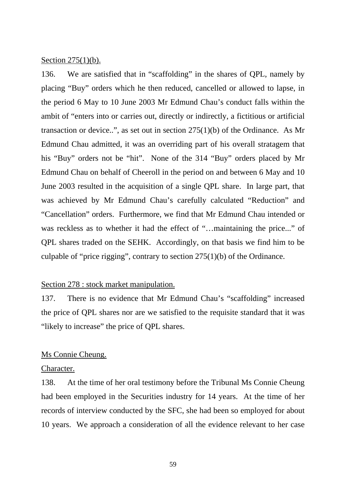### Section 275(1)(b).

136. We are satisfied that in "scaffolding" in the shares of QPL, namely by placing "Buy" orders which he then reduced, cancelled or allowed to lapse, in the period 6 May to 10 June 2003 Mr Edmund Chau's conduct falls within the ambit of "enters into or carries out, directly or indirectly, a fictitious or artificial transaction or device..", as set out in section 275(1)(b) of the Ordinance. As Mr Edmund Chau admitted, it was an overriding part of his overall stratagem that his "Buy" orders not be "hit". None of the 314 "Buy" orders placed by Mr Edmund Chau on behalf of Cheeroll in the period on and between 6 May and 10 June 2003 resulted in the acquisition of a single QPL share. In large part, that was achieved by Mr Edmund Chau's carefully calculated "Reduction" and "Cancellation" orders. Furthermore, we find that Mr Edmund Chau intended or was reckless as to whether it had the effect of "...maintaining the price..." of QPL shares traded on the SEHK. Accordingly, on that basis we find him to be culpable of "price rigging", contrary to section 275(1)(b) of the Ordinance.

### Section 278 : stock market manipulation.

137. There is no evidence that Mr Edmund Chau's "scaffolding" increased the price of QPL shares nor are we satisfied to the requisite standard that it was "likely to increase" the price of QPL shares.

# Ms Connie Cheung.

### Character.

138. At the time of her oral testimony before the Tribunal Ms Connie Cheung had been employed in the Securities industry for 14 years. At the time of her records of interview conducted by the SFC, she had been so employed for about 10 years. We approach a consideration of all the evidence relevant to her case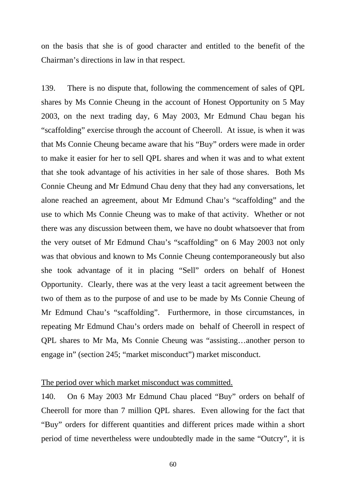on the basis that she is of good character and entitled to the benefit of the Chairman's directions in law in that respect.

139. There is no dispute that, following the commencement of sales of QPL shares by Ms Connie Cheung in the account of Honest Opportunity on 5 May 2003, on the next trading day, 6 May 2003, Mr Edmund Chau began his "scaffolding" exercise through the account of Cheeroll. At issue, is when it was that Ms Connie Cheung became aware that his "Buy" orders were made in order to make it easier for her to sell QPL shares and when it was and to what extent that she took advantage of his activities in her sale of those shares. Both Ms Connie Cheung and Mr Edmund Chau deny that they had any conversations, let alone reached an agreement, about Mr Edmund Chau's "scaffolding" and the use to which Ms Connie Cheung was to make of that activity. Whether or not there was any discussion between them, we have no doubt whatsoever that from the very outset of Mr Edmund Chau's "scaffolding" on 6 May 2003 not only was that obvious and known to Ms Connie Cheung contemporaneously but also she took advantage of it in placing "Sell" orders on behalf of Honest Opportunity. Clearly, there was at the very least a tacit agreement between the two of them as to the purpose of and use to be made by Ms Connie Cheung of Mr Edmund Chau's "scaffolding". Furthermore, in those circumstances, in repeating Mr Edmund Chau's orders made on behalf of Cheeroll in respect of QPL shares to Mr Ma, Ms Connie Cheung was "assisting…another person to engage in" (section 245; "market misconduct") market misconduct.

# The period over which market misconduct was committed.

140. On 6 May 2003 Mr Edmund Chau placed "Buy" orders on behalf of Cheeroll for more than 7 million QPL shares. Even allowing for the fact that "Buy" orders for different quantities and different prices made within a short period of time nevertheless were undoubtedly made in the same "Outcry", it is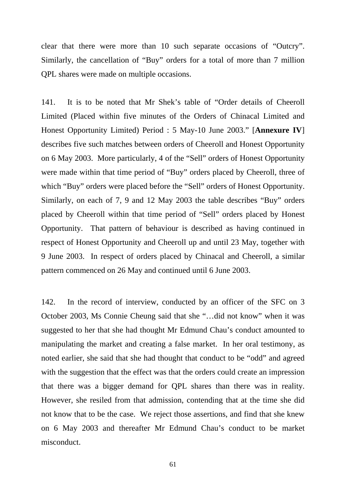clear that there were more than 10 such separate occasions of "Outcry". Similarly, the cancellation of "Buy" orders for a total of more than 7 million QPL shares were made on multiple occasions.

141. It is to be noted that Mr Shek's table of "Order details of Cheeroll Limited (Placed within five minutes of the Orders of Chinacal Limited and Honest Opportunity Limited) Period : 5 May-10 June 2003." [**Annexure IV**] describes five such matches between orders of Cheeroll and Honest Opportunity on 6 May 2003. More particularly, 4 of the "Sell" orders of Honest Opportunity were made within that time period of "Buy" orders placed by Cheeroll, three of which "Buy" orders were placed before the "Sell" orders of Honest Opportunity. Similarly, on each of 7, 9 and 12 May 2003 the table describes "Buy" orders placed by Cheeroll within that time period of "Sell" orders placed by Honest Opportunity. That pattern of behaviour is described as having continued in respect of Honest Opportunity and Cheeroll up and until 23 May, together with 9 June 2003. In respect of orders placed by Chinacal and Cheeroll, a similar pattern commenced on 26 May and continued until 6 June 2003.

142. In the record of interview, conducted by an officer of the SFC on 3 October 2003, Ms Connie Cheung said that she "…did not know" when it was suggested to her that she had thought Mr Edmund Chau's conduct amounted to manipulating the market and creating a false market. In her oral testimony, as noted earlier, she said that she had thought that conduct to be "odd" and agreed with the suggestion that the effect was that the orders could create an impression that there was a bigger demand for QPL shares than there was in reality. However, she resiled from that admission, contending that at the time she did not know that to be the case. We reject those assertions, and find that she knew on 6 May 2003 and thereafter Mr Edmund Chau's conduct to be market misconduct.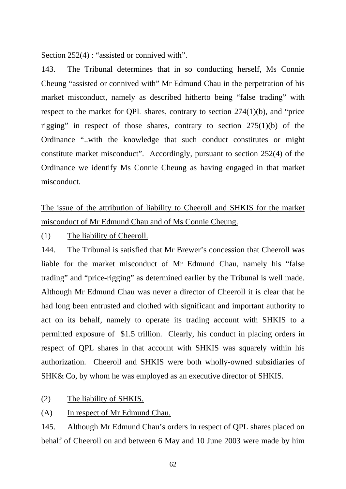### Section 252(4) : "assisted or connived with".

143. The Tribunal determines that in so conducting herself, Ms Connie Cheung "assisted or connived with" Mr Edmund Chau in the perpetration of his market misconduct, namely as described hitherto being "false trading" with respect to the market for QPL shares, contrary to section 274(1)(b), and "price rigging" in respect of those shares, contrary to section 275(1)(b) of the Ordinance "..with the knowledge that such conduct constitutes or might constitute market misconduct". Accordingly, pursuant to section 252(4) of the Ordinance we identify Ms Connie Cheung as having engaged in that market misconduct.

# The issue of the attribution of liability to Cheeroll and SHKIS for the market misconduct of Mr Edmund Chau and of Ms Connie Cheung.

(1) The liability of Cheeroll.

144. The Tribunal is satisfied that Mr Brewer's concession that Cheeroll was liable for the market misconduct of Mr Edmund Chau, namely his "false trading" and "price-rigging" as determined earlier by the Tribunal is well made. Although Mr Edmund Chau was never a director of Cheeroll it is clear that he had long been entrusted and clothed with significant and important authority to act on its behalf, namely to operate its trading account with SHKIS to a permitted exposure of \$1.5 trillion. Clearly, his conduct in placing orders in respect of QPL shares in that account with SHKIS was squarely within his authorization. Cheeroll and SHKIS were both wholly-owned subsidiaries of SHK& Co, by whom he was employed as an executive director of SHKIS.

(2) The liability of SHKIS.

### (A) In respect of Mr Edmund Chau.

145. Although Mr Edmund Chau's orders in respect of QPL shares placed on behalf of Cheeroll on and between 6 May and 10 June 2003 were made by him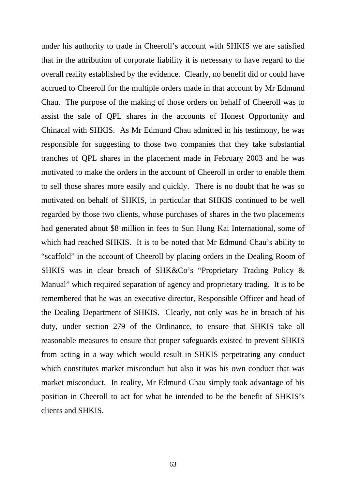under his authority to trade in Cheeroll's account with SHKIS we are satisfied that in the attribution of corporate liability it is necessary to have regard to the overall reality established by the evidence. Clearly, no benefit did or could have accrued to Cheeroll for the multiple orders made in that account by Mr Edmund Chau. The purpose of the making of those orders on behalf of Cheeroll was to assist the sale of QPL shares in the accounts of Honest Opportunity and Chinacal with SHKIS. As Mr Edmund Chau admitted in his testimony, he was responsible for suggesting to those two companies that they take substantial tranches of QPL shares in the placement made in February 2003 and he was motivated to make the orders in the account of Cheeroll in order to enable them to sell those shares more easily and quickly. There is no doubt that he was so motivated on behalf of SHKIS, in particular that SHKIS continued to be well regarded by those two clients, whose purchases of shares in the two placements had generated about \$8 million in fees to Sun Hung Kai International, some of which had reached SHKIS. It is to be noted that Mr Edmund Chau's ability to "scaffold" in the account of Cheeroll by placing orders in the Dealing Room of SHKIS was in clear breach of SHK&Co's "Proprietary Trading Policy & Manual" which required separation of agency and proprietary trading. It is to be remembered that he was an executive director, Responsible Officer and head of the Dealing Department of SHKIS. Clearly, not only was he in breach of his duty, under section 279 of the Ordinance, to ensure that SHKIS take all reasonable measures to ensure that proper safeguards existed to prevent SHKIS from acting in a way which would result in SHKIS perpetrating any conduct which constitutes market misconduct but also it was his own conduct that was market misconduct. In reality, Mr Edmund Chau simply took advantage of his position in Cheeroll to act for what he intended to be the benefit of SHKIS's clients and SHKIS.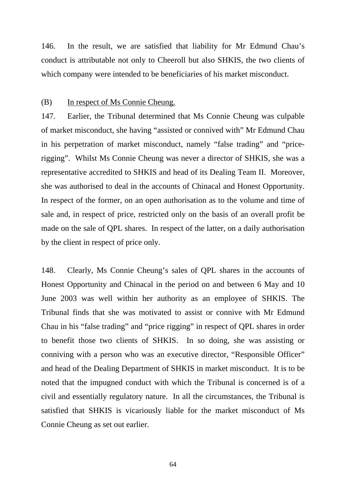146. In the result, we are satisfied that liability for Mr Edmund Chau's conduct is attributable not only to Cheeroll but also SHKIS, the two clients of which company were intended to be beneficiaries of his market misconduct.

### (B) In respect of Ms Connie Cheung.

147. Earlier, the Tribunal determined that Ms Connie Cheung was culpable of market misconduct, she having "assisted or connived with" Mr Edmund Chau in his perpetration of market misconduct, namely "false trading" and "pricerigging". Whilst Ms Connie Cheung was never a director of SHKIS, she was a representative accredited to SHKIS and head of its Dealing Team II. Moreover, she was authorised to deal in the accounts of Chinacal and Honest Opportunity. In respect of the former, on an open authorisation as to the volume and time of sale and, in respect of price, restricted only on the basis of an overall profit be made on the sale of QPL shares. In respect of the latter, on a daily authorisation by the client in respect of price only.

148. Clearly, Ms Connie Cheung's sales of QPL shares in the accounts of Honest Opportunity and Chinacal in the period on and between 6 May and 10 June 2003 was well within her authority as an employee of SHKIS. The Tribunal finds that she was motivated to assist or connive with Mr Edmund Chau in his "false trading" and "price rigging" in respect of QPL shares in order to benefit those two clients of SHKIS. In so doing, she was assisting or conniving with a person who was an executive director, "Responsible Officer" and head of the Dealing Department of SHKIS in market misconduct. It is to be noted that the impugned conduct with which the Tribunal is concerned is of a civil and essentially regulatory nature. In all the circumstances, the Tribunal is satisfied that SHKIS is vicariously liable for the market misconduct of Ms Connie Cheung as set out earlier.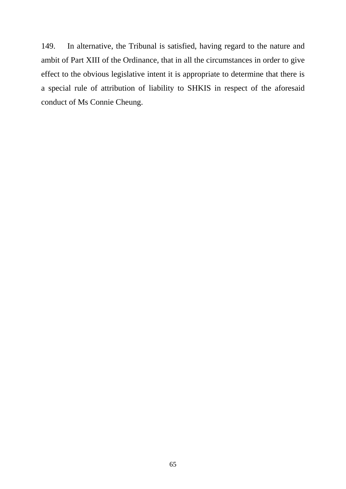149. In alternative, the Tribunal is satisfied, having regard to the nature and ambit of Part XIII of the Ordinance, that in all the circumstances in order to give effect to the obvious legislative intent it is appropriate to determine that there is a special rule of attribution of liability to SHKIS in respect of the aforesaid conduct of Ms Connie Cheung.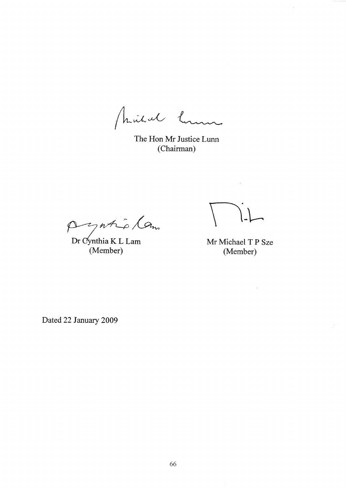Michael Lum

The Hon Mr Justice Lunn (Chairman)

popular

Dr Cynthia K L Lam (Member)

 $\bar{z}$ 

Mr Michael T P Sze (Member)

Dated 22 January 2009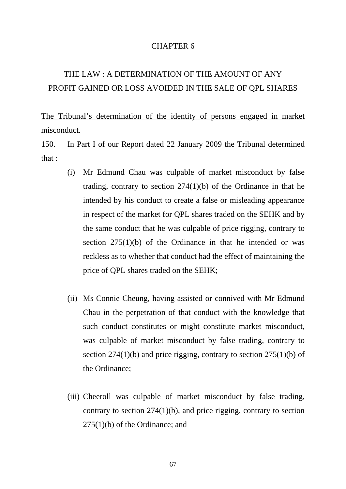### CHAPTER 6

# THE LAW : A DETERMINATION OF THE AMOUNT OF ANY PROFIT GAINED OR LOSS AVOIDED IN THE SALE OF QPL SHARES

# The Tribunal's determination of the identity of persons engaged in market misconduct.

150. In Part I of our Report dated 22 January 2009 the Tribunal determined that :

- (i) Mr Edmund Chau was culpable of market misconduct by false trading, contrary to section 274(1)(b) of the Ordinance in that he intended by his conduct to create a false or misleading appearance in respect of the market for QPL shares traded on the SEHK and by the same conduct that he was culpable of price rigging, contrary to section 275(1)(b) of the Ordinance in that he intended or was reckless as to whether that conduct had the effect of maintaining the price of QPL shares traded on the SEHK;
- (ii) Ms Connie Cheung, having assisted or connived with Mr Edmund Chau in the perpetration of that conduct with the knowledge that such conduct constitutes or might constitute market misconduct, was culpable of market misconduct by false trading, contrary to section  $274(1)(b)$  and price rigging, contrary to section  $275(1)(b)$  of the Ordinance;
- (iii) Cheeroll was culpable of market misconduct by false trading, contrary to section 274(1)(b), and price rigging, contrary to section 275(1)(b) of the Ordinance; and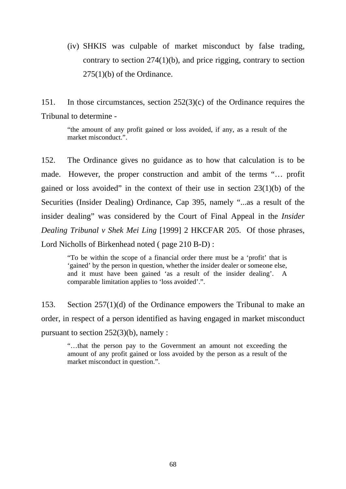(iv) SHKIS was culpable of market misconduct by false trading, contrary to section 274(1)(b), and price rigging, contrary to section 275(1)(b) of the Ordinance.

151. In those circumstances, section 252(3)(c) of the Ordinance requires the Tribunal to determine -

"the amount of any profit gained or loss avoided, if any, as a result of the market misconduct.".

152. The Ordinance gives no guidance as to how that calculation is to be made. However, the proper construction and ambit of the terms "… profit gained or loss avoided" in the context of their use in section 23(1)(b) of the Securities (Insider Dealing) Ordinance, Cap 395, namely "...as a result of the insider dealing" was considered by the Court of Final Appeal in the *Insider Dealing Tribunal v Shek Mei Ling* [1999] 2 HKCFAR 205. Of those phrases, Lord Nicholls of Birkenhead noted ( page 210 B-D) :

"To be within the scope of a financial order there must be a 'profit' that is 'gained' by the person in question, whether the insider dealer or someone else, and it must have been gained 'as a result of the insider dealing'. comparable limitation applies to 'loss avoided'.".

153. Section 257(1)(d) of the Ordinance empowers the Tribunal to make an order, in respect of a person identified as having engaged in market misconduct pursuant to section 252(3)(b), namely :

"…that the person pay to the Government an amount not exceeding the amount of any profit gained or loss avoided by the person as a result of the market misconduct in question.".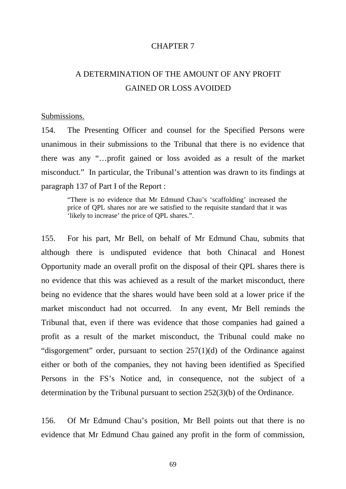### CHAPTER 7

# A DETERMINATION OF THE AMOUNT OF ANY PROFIT GAINED OR LOSS AVOIDED

### Submissions.

154. The Presenting Officer and counsel for the Specified Persons were unanimous in their submissions to the Tribunal that there is no evidence that there was any "…profit gained or loss avoided as a result of the market misconduct." In particular, the Tribunal's attention was drawn to its findings at paragraph 137 of Part I of the Report :

> "There is no evidence that Mr Edmund Chau's 'scaffolding' increased the price of QPL shares nor are we satisfied to the requisite standard that it was 'likely to increase' the price of QPL shares.".

155. For his part, Mr Bell, on behalf of Mr Edmund Chau, submits that although there is undisputed evidence that both Chinacal and Honest Opportunity made an overall profit on the disposal of their QPL shares there is no evidence that this was achieved as a result of the market misconduct, there being no evidence that the shares would have been sold at a lower price if the market misconduct had not occurred. In any event, Mr Bell reminds the Tribunal that, even if there was evidence that those companies had gained a profit as a result of the market misconduct, the Tribunal could make no "disgorgement" order, pursuant to section 257(1)(d) of the Ordinance against either or both of the companies, they not having been identified as Specified Persons in the FS's Notice and, in consequence, not the subject of a determination by the Tribunal pursuant to section 252(3)(b) of the Ordinance.

156. Of Mr Edmund Chau's position, Mr Bell points out that there is no evidence that Mr Edmund Chau gained any profit in the form of commission,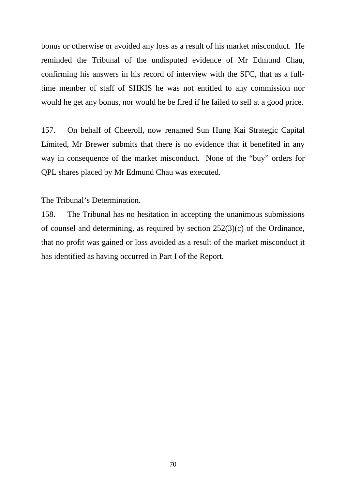bonus or otherwise or avoided any loss as a result of his market misconduct. He reminded the Tribunal of the undisputed evidence of Mr Edmund Chau, confirming his answers in his record of interview with the SFC, that as a fulltime member of staff of SHKIS he was not entitled to any commission nor would he get any bonus, nor would he be fired if he failed to sell at a good price.

157. On behalf of Cheeroll, now renamed Sun Hung Kai Strategic Capital Limited, Mr Brewer submits that there is no evidence that it benefited in any way in consequence of the market misconduct. None of the "buy" orders for QPL shares placed by Mr Edmund Chau was executed.

# The Tribunal's Determination.

158. The Tribunal has no hesitation in accepting the unanimous submissions of counsel and determining, as required by section 252(3)(c) of the Ordinance, that no profit was gained or loss avoided as a result of the market misconduct it has identified as having occurred in Part I of the Report.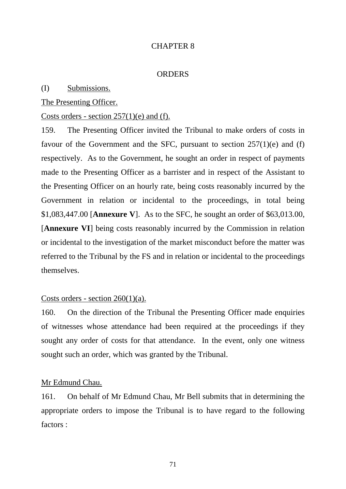# CHAPTER 8

### **ORDERS**

(I) Submissions.

The Presenting Officer.

Costs orders - section  $257(1)(e)$  and (f).

159. The Presenting Officer invited the Tribunal to make orders of costs in favour of the Government and the SFC, pursuant to section  $257(1)(e)$  and (f) respectively. As to the Government, he sought an order in respect of payments made to the Presenting Officer as a barrister and in respect of the Assistant to the Presenting Officer on an hourly rate, being costs reasonably incurred by the Government in relation or incidental to the proceedings, in total being \$1,083,447.00 [**Annexure V**]. As to the SFC, he sought an order of \$63,013.00, [**Annexure VI**] being costs reasonably incurred by the Commission in relation or incidental to the investigation of the market misconduct before the matter was referred to the Tribunal by the FS and in relation or incidental to the proceedings themselves.

### Costs orders - section  $260(1)(a)$ .

160. On the direction of the Tribunal the Presenting Officer made enquiries of witnesses whose attendance had been required at the proceedings if they sought any order of costs for that attendance. In the event, only one witness sought such an order, which was granted by the Tribunal.

### Mr Edmund Chau.

161. On behalf of Mr Edmund Chau, Mr Bell submits that in determining the appropriate orders to impose the Tribunal is to have regard to the following factors :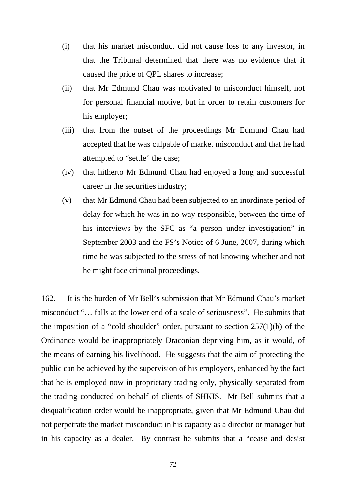- (i) that his market misconduct did not cause loss to any investor, in that the Tribunal determined that there was no evidence that it caused the price of QPL shares to increase;
- (ii) that Mr Edmund Chau was motivated to misconduct himself, not for personal financial motive, but in order to retain customers for his employer;
- (iii) that from the outset of the proceedings Mr Edmund Chau had accepted that he was culpable of market misconduct and that he had attempted to "settle" the case;
- (iv) that hitherto Mr Edmund Chau had enjoyed a long and successful career in the securities industry;
- (v) that Mr Edmund Chau had been subjected to an inordinate period of delay for which he was in no way responsible, between the time of his interviews by the SFC as "a person under investigation" in September 2003 and the FS's Notice of 6 June, 2007, during which time he was subjected to the stress of not knowing whether and not he might face criminal proceedings.

162. It is the burden of Mr Bell's submission that Mr Edmund Chau's market misconduct "… falls at the lower end of a scale of seriousness". He submits that the imposition of a "cold shoulder" order, pursuant to section  $257(1)(b)$  of the Ordinance would be inappropriately Draconian depriving him, as it would, of the means of earning his livelihood. He suggests that the aim of protecting the public can be achieved by the supervision of his employers, enhanced by the fact that he is employed now in proprietary trading only, physically separated from the trading conducted on behalf of clients of SHKIS. Mr Bell submits that a disqualification order would be inappropriate, given that Mr Edmund Chau did not perpetrate the market misconduct in his capacity as a director or manager but in his capacity as a dealer. By contrast he submits that a "cease and desist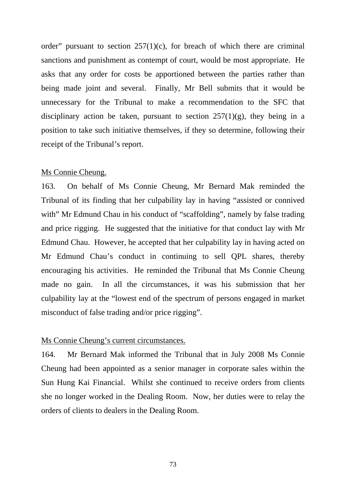order" pursuant to section  $257(1)(c)$ , for breach of which there are criminal sanctions and punishment as contempt of court, would be most appropriate. He asks that any order for costs be apportioned between the parties rather than being made joint and several. Finally, Mr Bell submits that it would be unnecessary for the Tribunal to make a recommendation to the SFC that disciplinary action be taken, pursuant to section  $257(1)(g)$ , they being in a position to take such initiative themselves, if they so determine, following their receipt of the Tribunal's report.

# Ms Connie Cheung.

163. On behalf of Ms Connie Cheung, Mr Bernard Mak reminded the Tribunal of its finding that her culpability lay in having "assisted or connived with" Mr Edmund Chau in his conduct of "scaffolding", namely by false trading and price rigging. He suggested that the initiative for that conduct lay with Mr Edmund Chau. However, he accepted that her culpability lay in having acted on Mr Edmund Chau's conduct in continuing to sell QPL shares, thereby encouraging his activities. He reminded the Tribunal that Ms Connie Cheung made no gain. In all the circumstances, it was his submission that her culpability lay at the "lowest end of the spectrum of persons engaged in market misconduct of false trading and/or price rigging".

# Ms Connie Cheung's current circumstances.

164. Mr Bernard Mak informed the Tribunal that in July 2008 Ms Connie Cheung had been appointed as a senior manager in corporate sales within the Sun Hung Kai Financial. Whilst she continued to receive orders from clients she no longer worked in the Dealing Room. Now, her duties were to relay the orders of clients to dealers in the Dealing Room.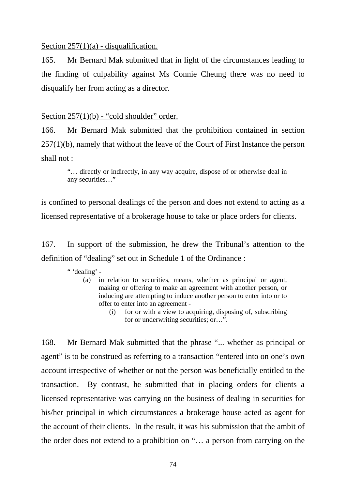## Section  $257(1)(a)$  - disqualification.

165. Mr Bernard Mak submitted that in light of the circumstances leading to the finding of culpability against Ms Connie Cheung there was no need to disqualify her from acting as a director.

### Section  $257(1)(b)$  - "cold shoulder" order.

166. Mr Bernard Mak submitted that the prohibition contained in section  $257(1)(b)$ , namely that without the leave of the Court of First Instance the person shall not :

"… directly or indirectly, in any way acquire, dispose of or otherwise deal in any securities…"

is confined to personal dealings of the person and does not extend to acting as a licensed representative of a brokerage house to take or place orders for clients.

167. In support of the submission, he drew the Tribunal's attention to the definition of "dealing" set out in Schedule 1 of the Ordinance :

" 'dealing' -

- (a) in relation to securities, means, whether as principal or agent, making or offering to make an agreement with another person, or inducing are attempting to induce another person to enter into or to offer to enter into an agreement -
	- (i) for or with a view to acquiring, disposing of, subscribing for or underwriting securities; or…".

168. Mr Bernard Mak submitted that the phrase "... whether as principal or agent" is to be construed as referring to a transaction "entered into on one's own account irrespective of whether or not the person was beneficially entitled to the transaction. By contrast, he submitted that in placing orders for clients a licensed representative was carrying on the business of dealing in securities for his/her principal in which circumstances a brokerage house acted as agent for the account of their clients. In the result, it was his submission that the ambit of the order does not extend to a prohibition on "… a person from carrying on the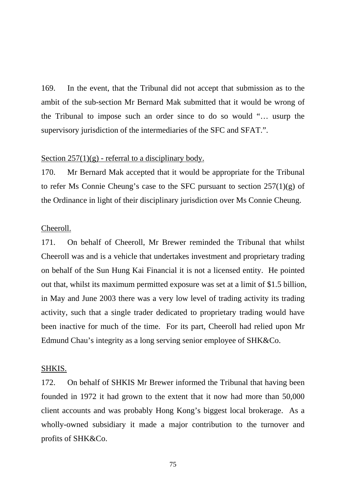169. In the event, that the Tribunal did not accept that submission as to the ambit of the sub-section Mr Bernard Mak submitted that it would be wrong of the Tribunal to impose such an order since to do so would "… usurp the supervisory jurisdiction of the intermediaries of the SFC and SFAT.".

#### Section  $257(1)(g)$  - referral to a disciplinary body.

170. Mr Bernard Mak accepted that it would be appropriate for the Tribunal to refer Ms Connie Cheung's case to the SFC pursuant to section 257(1)(g) of the Ordinance in light of their disciplinary jurisdiction over Ms Connie Cheung.

#### Cheeroll.

171. On behalf of Cheeroll, Mr Brewer reminded the Tribunal that whilst Cheeroll was and is a vehicle that undertakes investment and proprietary trading on behalf of the Sun Hung Kai Financial it is not a licensed entity. He pointed out that, whilst its maximum permitted exposure was set at a limit of \$1.5 billion, in May and June 2003 there was a very low level of trading activity its trading activity, such that a single trader dedicated to proprietary trading would have been inactive for much of the time. For its part, Cheeroll had relied upon Mr Edmund Chau's integrity as a long serving senior employee of SHK&Co.

#### SHKIS.

172. On behalf of SHKIS Mr Brewer informed the Tribunal that having been founded in 1972 it had grown to the extent that it now had more than 50,000 client accounts and was probably Hong Kong's biggest local brokerage. As a wholly-owned subsidiary it made a major contribution to the turnover and profits of SHK&Co.

75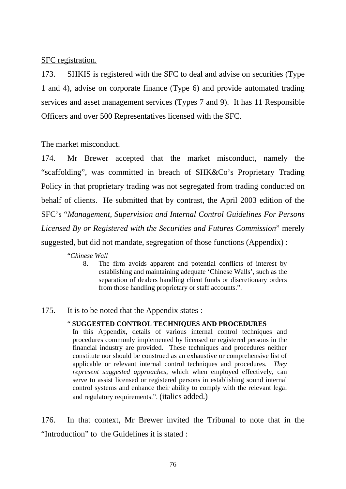# SFC registration.

173. SHKIS is registered with the SFC to deal and advise on securities (Type 1 and 4), advise on corporate finance (Type 6) and provide automated trading services and asset management services (Types 7 and 9). It has 11 Responsible Officers and over 500 Representatives licensed with the SFC.

# The market misconduct.

174. Mr Brewer accepted that the market misconduct, namely the "scaffolding", was committed in breach of SHK&Co's Proprietary Trading Policy in that proprietary trading was not segregated from trading conducted on behalf of clients. He submitted that by contrast, the April 2003 edition of the SFC's "*Management, Supervision and Internal Control Guidelines For Persons Licensed By or Registered with the Securities and Futures Commission*" merely suggested, but did not mandate, segregation of those functions (Appendix) :

#### "*Chinese Wall*

8. The firm avoids apparent and potential conflicts of interest by establishing and maintaining adequate 'Chinese Walls', such as the separation of dealers handling client funds or discretionary orders from those handling proprietary or staff accounts.".

# 175. It is to be noted that the Appendix states :

# " **SUGGESTED CONTROL TECHNIQUES AND PROCEDURES**

In this Appendix, details of various internal control techniques and procedures commonly implemented by licensed or registered persons in the financial industry are provided. These techniques and procedures neither constitute nor should be construed as an exhaustive or comprehensive list of applicable or relevant internal control techniques and procedures. *They represent suggested approaches*, which when employed effectively, can serve to assist licensed or registered persons in establishing sound internal control systems and enhance their ability to comply with the relevant legal and regulatory requirements.". (italics added.)

176. In that context, Mr Brewer invited the Tribunal to note that in the "Introduction" to the Guidelines it is stated :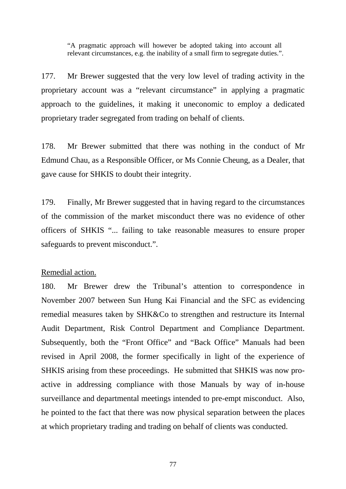"A pragmatic approach will however be adopted taking into account all relevant circumstances, e.g. the inability of a small firm to segregate duties.".

177. Mr Brewer suggested that the very low level of trading activity in the proprietary account was a "relevant circumstance" in applying a pragmatic approach to the guidelines, it making it uneconomic to employ a dedicated proprietary trader segregated from trading on behalf of clients.

178. Mr Brewer submitted that there was nothing in the conduct of Mr Edmund Chau, as a Responsible Officer, or Ms Connie Cheung, as a Dealer, that gave cause for SHKIS to doubt their integrity.

179. Finally, Mr Brewer suggested that in having regard to the circumstances of the commission of the market misconduct there was no evidence of other officers of SHKIS "... failing to take reasonable measures to ensure proper safeguards to prevent misconduct.".

#### Remedial action.

180. Mr Brewer drew the Tribunal's attention to correspondence in November 2007 between Sun Hung Kai Financial and the SFC as evidencing remedial measures taken by SHK&Co to strengthen and restructure its Internal Audit Department, Risk Control Department and Compliance Department. Subsequently, both the "Front Office" and "Back Office" Manuals had been revised in April 2008, the former specifically in light of the experience of SHKIS arising from these proceedings. He submitted that SHKIS was now proactive in addressing compliance with those Manuals by way of in-house surveillance and departmental meetings intended to pre-empt misconduct. Also, he pointed to the fact that there was now physical separation between the places at which proprietary trading and trading on behalf of clients was conducted.

77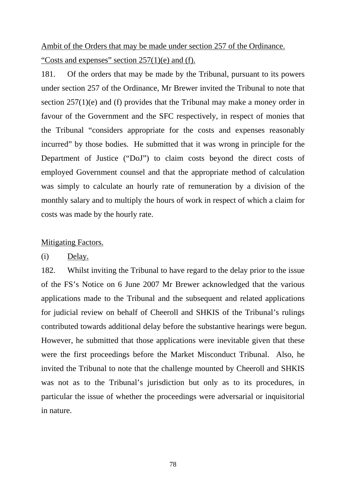Ambit of the Orders that may be made under section 257 of the Ordinance. "Costs and expenses" section  $257(1)$ (e) and (f).

181. Of the orders that may be made by the Tribunal, pursuant to its powers under section 257 of the Ordinance, Mr Brewer invited the Tribunal to note that section 257(1)(e) and (f) provides that the Tribunal may make a money order in favour of the Government and the SFC respectively, in respect of monies that the Tribunal "considers appropriate for the costs and expenses reasonably incurred" by those bodies. He submitted that it was wrong in principle for the Department of Justice ("DoJ") to claim costs beyond the direct costs of employed Government counsel and that the appropriate method of calculation was simply to calculate an hourly rate of remuneration by a division of the monthly salary and to multiply the hours of work in respect of which a claim for costs was made by the hourly rate.

# Mitigating Factors.

(i) Delay.

182. Whilst inviting the Tribunal to have regard to the delay prior to the issue of the FS's Notice on 6 June 2007 Mr Brewer acknowledged that the various applications made to the Tribunal and the subsequent and related applications for judicial review on behalf of Cheeroll and SHKIS of the Tribunal's rulings contributed towards additional delay before the substantive hearings were begun. However, he submitted that those applications were inevitable given that these were the first proceedings before the Market Misconduct Tribunal. Also, he invited the Tribunal to note that the challenge mounted by Cheeroll and SHKIS was not as to the Tribunal's jurisdiction but only as to its procedures, in particular the issue of whether the proceedings were adversarial or inquisitorial in nature.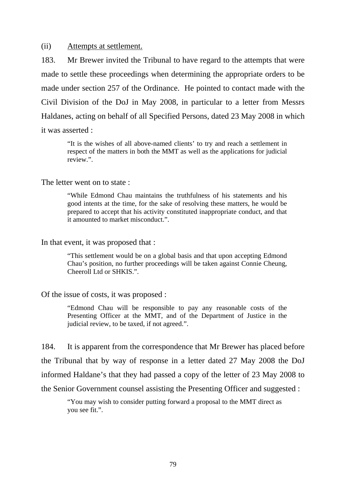(ii) Attempts at settlement.

183. Mr Brewer invited the Tribunal to have regard to the attempts that were made to settle these proceedings when determining the appropriate orders to be made under section 257 of the Ordinance. He pointed to contact made with the Civil Division of the DoJ in May 2008, in particular to a letter from Messrs Haldanes, acting on behalf of all Specified Persons, dated 23 May 2008 in which

it was asserted :

"It is the wishes of all above-named clients' to try and reach a settlement in respect of the matters in both the MMT as well as the applications for judicial review.".

The letter went on to state :

"While Edmond Chau maintains the truthfulness of his statements and his good intents at the time, for the sake of resolving these matters, he would be prepared to accept that his activity constituted inappropriate conduct, and that it amounted to market misconduct.".

In that event, it was proposed that :

"This settlement would be on a global basis and that upon accepting Edmond Chau's position, no further proceedings will be taken against Connie Cheung, Cheeroll Ltd or SHKIS.".

Of the issue of costs, it was proposed :

"Edmond Chau will be responsible to pay any reasonable costs of the Presenting Officer at the MMT, and of the Department of Justice in the judicial review, to be taxed, if not agreed.".

184. It is apparent from the correspondence that Mr Brewer has placed before the Tribunal that by way of response in a letter dated 27 May 2008 the DoJ informed Haldane's that they had passed a copy of the letter of 23 May 2008 to the Senior Government counsel assisting the Presenting Officer and suggested :

"You may wish to consider putting forward a proposal to the MMT direct as you see fit.".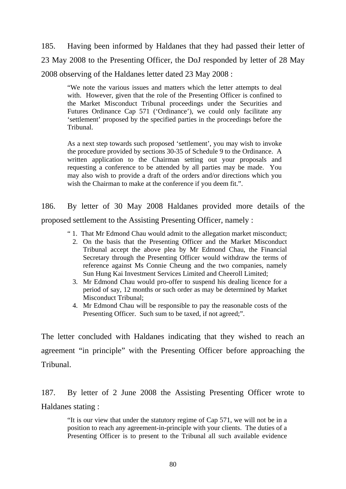185. Having been informed by Haldanes that they had passed their letter of 23 May 2008 to the Presenting Officer, the DoJ responded by letter of 28 May 2008 observing of the Haldanes letter dated 23 May 2008 :

"We note the various issues and matters which the letter attempts to deal with. However, given that the role of the Presenting Officer is confined to the Market Misconduct Tribunal proceedings under the Securities and Futures Ordinance Cap 571 ('Ordinance'), we could only facilitate any 'settlement' proposed by the specified parties in the proceedings before the Tribunal.

As a next step towards such proposed 'settlement', you may wish to invoke the procedure provided by sections 30-35 of Schedule 9 to the Ordinance. A written application to the Chairman setting out your proposals and requesting a conference to be attended by all parties may be made. You may also wish to provide a draft of the orders and/or directions which you wish the Chairman to make at the conference if you deem fit.".

186. By letter of 30 May 2008 Haldanes provided more details of the

proposed settlement to the Assisting Presenting Officer, namely :

- " 1. That Mr Edmond Chau would admit to the allegation market misconduct;
	- 2. On the basis that the Presenting Officer and the Market Misconduct Tribunal accept the above plea by Mr Edmond Chau, the Financial Secretary through the Presenting Officer would withdraw the terms of reference against Ms Connie Cheung and the two companies, namely Sun Hung Kai Investment Services Limited and Cheeroll Limited;
	- 3. Mr Edmond Chau would pro-offer to suspend his dealing licence for a period of say, 12 months or such order as may be determined by Market Misconduct Tribunal;
	- 4. Mr Edmond Chau will be responsible to pay the reasonable costs of the Presenting Officer. Such sum to be taxed, if not agreed;".

The letter concluded with Haldanes indicating that they wished to reach an agreement "in principle" with the Presenting Officer before approaching the Tribunal.

187. By letter of 2 June 2008 the Assisting Presenting Officer wrote to Haldanes stating :

"It is our view that under the statutory regime of Cap 571, we will not be in a position to reach any agreement-in-principle with your clients. The duties of a Presenting Officer is to present to the Tribunal all such available evidence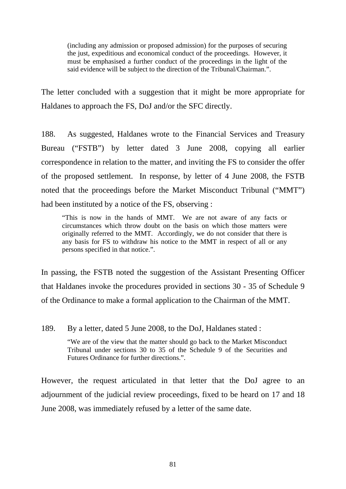(including any admission or proposed admission) for the purposes of securing the just, expeditious and economical conduct of the proceedings. However, it must be emphasised a further conduct of the proceedings in the light of the said evidence will be subject to the direction of the Tribunal/Chairman.".

The letter concluded with a suggestion that it might be more appropriate for Haldanes to approach the FS, DoJ and/or the SFC directly.

188. As suggested, Haldanes wrote to the Financial Services and Treasury Bureau ("FSTB") by letter dated 3 June 2008, copying all earlier correspondence in relation to the matter, and inviting the FS to consider the offer of the proposed settlement. In response, by letter of 4 June 2008, the FSTB noted that the proceedings before the Market Misconduct Tribunal ("MMT") had been instituted by a notice of the FS, observing :

"This is now in the hands of MMT. We are not aware of any facts or circumstances which throw doubt on the basis on which those matters were originally referred to the MMT. Accordingly, we do not consider that there is any basis for FS to withdraw his notice to the MMT in respect of all or any persons specified in that notice.".

In passing, the FSTB noted the suggestion of the Assistant Presenting Officer that Haldanes invoke the procedures provided in sections 30 - 35 of Schedule 9 of the Ordinance to make a formal application to the Chairman of the MMT.

189. By a letter, dated 5 June 2008, to the DoJ, Haldanes stated :

"We are of the view that the matter should go back to the Market Misconduct Tribunal under sections 30 to 35 of the Schedule 9 of the Securities and Futures Ordinance for further directions.".

However, the request articulated in that letter that the DoJ agree to an adjournment of the judicial review proceedings, fixed to be heard on 17 and 18 June 2008, was immediately refused by a letter of the same date.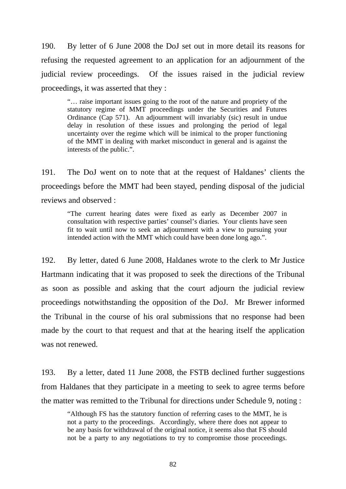190. By letter of 6 June 2008 the DoJ set out in more detail its reasons for refusing the requested agreement to an application for an adjournment of the judicial review proceedings. Of the issues raised in the judicial review proceedings, it was asserted that they :

"… raise important issues going to the root of the nature and propriety of the statutory regime of MMT proceedings under the Securities and Futures Ordinance (Cap 571). An adjournment will invariably (sic) result in undue delay in resolution of these issues and prolonging the period of legal uncertainty over the regime which will be inimical to the proper functioning of the MMT in dealing with market misconduct in general and is against the interests of the public.".

191. The DoJ went on to note that at the request of Haldanes' clients the proceedings before the MMT had been stayed, pending disposal of the judicial reviews and observed :

"The current hearing dates were fixed as early as December 2007 in consultation with respective parties' counsel's diaries. Your clients have seen fit to wait until now to seek an adjournment with a view to pursuing your intended action with the MMT which could have been done long ago.".

192. By letter, dated 6 June 2008, Haldanes wrote to the clerk to Mr Justice Hartmann indicating that it was proposed to seek the directions of the Tribunal as soon as possible and asking that the court adjourn the judicial review proceedings notwithstanding the opposition of the DoJ. Mr Brewer informed the Tribunal in the course of his oral submissions that no response had been made by the court to that request and that at the hearing itself the application was not renewed.

193. By a letter, dated 11 June 2008, the FSTB declined further suggestions from Haldanes that they participate in a meeting to seek to agree terms before the matter was remitted to the Tribunal for directions under Schedule 9, noting :

"Although FS has the statutory function of referring cases to the MMT, he is not a party to the proceedings. Accordingly, where there does not appear to be any basis for withdrawal of the original notice, it seems also that FS should not be a party to any negotiations to try to compromise those proceedings.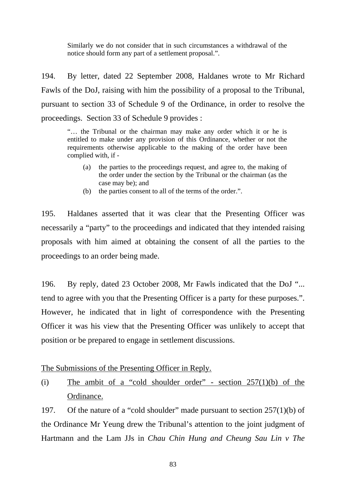Similarly we do not consider that in such circumstances a withdrawal of the notice should form any part of a settlement proposal.".

194. By letter, dated 22 September 2008, Haldanes wrote to Mr Richard Fawls of the DoJ, raising with him the possibility of a proposal to the Tribunal, pursuant to section 33 of Schedule 9 of the Ordinance, in order to resolve the proceedings. Section 33 of Schedule 9 provides :

"… the Tribunal or the chairman may make any order which it or he is entitled to make under any provision of this Ordinance, whether or not the requirements otherwise applicable to the making of the order have been complied with, if -

- (a) the parties to the proceedings request, and agree to, the making of the order under the section by the Tribunal or the chairman (as the case may be); and
- (b) the parties consent to all of the terms of the order.".

195. Haldanes asserted that it was clear that the Presenting Officer was necessarily a "party" to the proceedings and indicated that they intended raising proposals with him aimed at obtaining the consent of all the parties to the proceedings to an order being made.

196. By reply, dated 23 October 2008, Mr Fawls indicated that the DoJ "... tend to agree with you that the Presenting Officer is a party for these purposes.". However, he indicated that in light of correspondence with the Presenting Officer it was his view that the Presenting Officer was unlikely to accept that position or be prepared to engage in settlement discussions.

#### The Submissions of the Presenting Officer in Reply.

(i) The ambit of a "cold shoulder order" - section  $257(1)(b)$  of the Ordinance.

197. Of the nature of a "cold shoulder" made pursuant to section 257(1)(b) of the Ordinance Mr Yeung drew the Tribunal's attention to the joint judgment of Hartmann and the Lam JJs in *Chau Chin Hung and Cheung Sau Lin v The*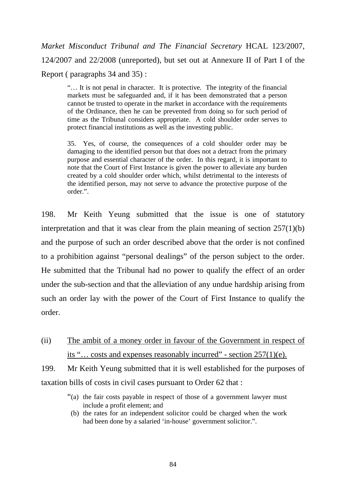*Market Misconduct Tribunal and The Financial Secretary* HCAL 123/2007, 124/2007 and 22/2008 (unreported), but set out at Annexure II of Part I of the Report ( paragraphs 34 and 35) :

"… It is not penal in character. It is protective. The integrity of the financial markets must be safeguarded and, if it has been demonstrated that a person cannot be trusted to operate in the market in accordance with the requirements of the Ordinance, then he can be prevented from doing so for such period of time as the Tribunal considers appropriate. A cold shoulder order serves to protect financial institutions as well as the investing public.

35. Yes, of course, the consequences of a cold shoulder order may be damaging to the identified person but that does not a detract from the primary purpose and essential character of the order. In this regard, it is important to note that the Court of First Instance is given the power to alleviate any burden created by a cold shoulder order which, whilst detrimental to the interests of the identified person, may not serve to advance the protective purpose of the order.".

198. Mr Keith Yeung submitted that the issue is one of statutory interpretation and that it was clear from the plain meaning of section 257(1)(b) and the purpose of such an order described above that the order is not confined to a prohibition against "personal dealings" of the person subject to the order. He submitted that the Tribunal had no power to qualify the effect of an order under the sub-section and that the alleviation of any undue hardship arising from such an order lay with the power of the Court of First Instance to qualify the order.

(ii) The ambit of a money order in favour of the Government in respect of its "… costs and expenses reasonably incurred" - section 257(1)(e).

199. Mr Keith Yeung submitted that it is well established for the purposes of taxation bills of costs in civil cases pursuant to Order 62 that :

- "(a) the fair costs payable in respect of those of a government lawyer must include a profit element; and
- (b) the rates for an independent solicitor could be charged when the work had been done by a salaried 'in-house' government solicitor.".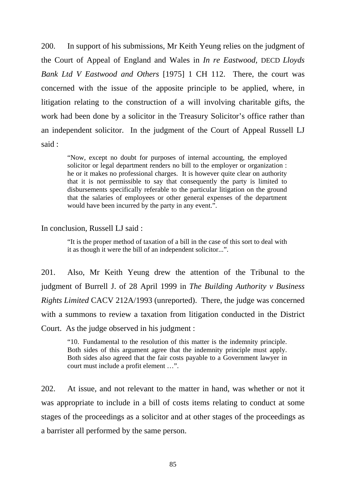200. In support of his submissions, Mr Keith Yeung relies on the judgment of the Court of Appeal of England and Wales in *In re Eastwood,* DECD *Lloyds Bank Ltd V Eastwood and Others* [1975] 1 CH 112. There, the court was concerned with the issue of the apposite principle to be applied, where, in litigation relating to the construction of a will involving charitable gifts, the work had been done by a solicitor in the Treasury Solicitor's office rather than an independent solicitor. In the judgment of the Court of Appeal Russell LJ said :

"Now, except no doubt for purposes of internal accounting, the employed solicitor or legal department renders no bill to the employer or organization : he or it makes no professional charges. It is however quite clear on authority that it is not permissible to say that consequently the party is limited to disbursements specifically referable to the particular litigation on the ground that the salaries of employees or other general expenses of the department would have been incurred by the party in any event.".

In conclusion, Russell LJ said :

"It is the proper method of taxation of a bill in the case of this sort to deal with it as though it were the bill of an independent solicitor...".

201. Also, Mr Keith Yeung drew the attention of the Tribunal to the judgment of Burrell J. of 28 April 1999 in *The Building Authority v Business Rights Limited* CACV 212A/1993 (unreported). There, the judge was concerned with a summons to review a taxation from litigation conducted in the District Court. As the judge observed in his judgment :

"10. Fundamental to the resolution of this matter is the indemnity principle. Both sides of this argument agree that the indemnity principle must apply. Both sides also agreed that the fair costs payable to a Government lawyer in court must include a profit element …".

202. At issue, and not relevant to the matter in hand, was whether or not it was appropriate to include in a bill of costs items relating to conduct at some stages of the proceedings as a solicitor and at other stages of the proceedings as a barrister all performed by the same person.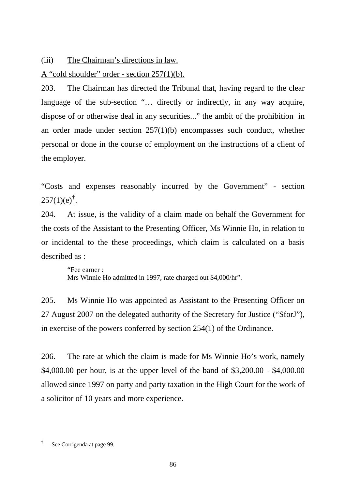## (iii) The Chairman's directions in law.

## A "cold shoulder" order - section 257(1)(b).

203. The Chairman has directed the Tribunal that, having regard to the clear language of the sub-section "… directly or indirectly, in any way acquire, dispose of or otherwise deal in any securities..." the ambit of the prohibition in an order made under section 257(1)(b) encompasses such conduct, whether personal or done in the course of employment on the instructions of a client of the employer.

# "Costs and expenses reasonably incurred by the Government" - section  $257(1)(e)^{\ddagger}$ .

204. At issue, is the validity of a claim made on behalf the Government for the costs of the Assistant to the Presenting Officer, Ms Winnie Ho, in relation to or incidental to the these proceedings, which claim is calculated on a basis described as :

"Fee earner : Mrs Winnie Ho admitted in 1997, rate charged out \$4,000/hr".

205. Ms Winnie Ho was appointed as Assistant to the Presenting Officer on 27 August 2007 on the delegated authority of the Secretary for Justice ("SforJ"), in exercise of the powers conferred by section 254(1) of the Ordinance.

206. The rate at which the claim is made for Ms Winnie Ho's work, namely \$4,000.00 per hour, is at the upper level of the band of \$3,200.00 - \$4,000.00 allowed since 1997 on party and party taxation in the High Court for the work of a solicitor of 10 years and more experience.

<span id="page-85-0"></span><sup>†</sup> See Corrigenda at page 99.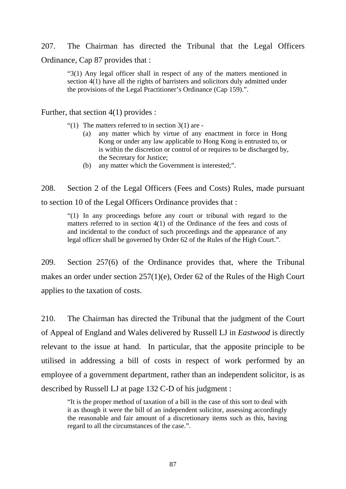207. The Chairman has directed the Tribunal that the Legal Officers Ordinance, Cap 87 provides that :

"3(1) Any legal officer shall in respect of any of the matters mentioned in section 4(1) have all the rights of barristers and solicitors duly admitted under the provisions of the Legal Practitioner's Ordinance (Cap 159).".

Further, that section 4(1) provides :

"(1) The matters referred to in section  $3(1)$  are -

- (a) any matter which by virtue of any enactment in force in Hong Kong or under any law applicable to Hong Kong is entrusted to, or is within the discretion or control of or requires to be discharged by, the Secretary for Justice;
- (b) any matter which the Government is interested;".

208. Section 2 of the Legal Officers (Fees and Costs) Rules, made pursuant to section 10 of the Legal Officers Ordinance provides that :

"(1) In any proceedings before any court or tribunal with regard to the matters referred to in section 4(1) of the Ordinance of the fees and costs of and incidental to the conduct of such proceedings and the appearance of any legal officer shall be governed by Order 62 of the Rules of the High Court.".

209. Section 257(6) of the Ordinance provides that, where the Tribunal makes an order under section 257(1)(e), Order 62 of the Rules of the High Court applies to the taxation of costs.

210. The Chairman has directed the Tribunal that the judgment of the Court of Appeal of England and Wales delivered by Russell LJ in *Eastwood* is directly relevant to the issue at hand. In particular, that the apposite principle to be utilised in addressing a bill of costs in respect of work performed by an employee of a government department, rather than an independent solicitor, is as described by Russell LJ at page 132 C-D of his judgment :

"It is the proper method of taxation of a bill in the case of this sort to deal with it as though it were the bill of an independent solicitor, assessing accordingly the reasonable and fair amount of a discretionary items such as this, having regard to all the circumstances of the case.".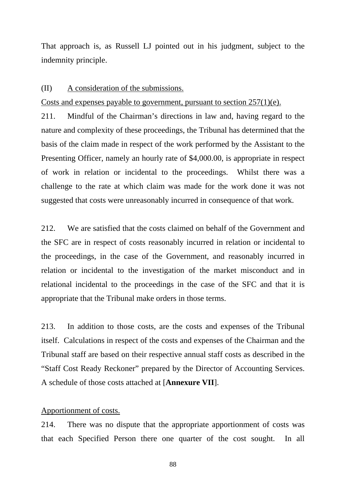That approach is, as Russell LJ pointed out in his judgment, subject to the indemnity principle.

# (II) A consideration of the submissions.

#### Costs and expenses payable to government, pursuant to section 257(1)(e).

211. Mindful of the Chairman's directions in law and, having regard to the nature and complexity of these proceedings, the Tribunal has determined that the basis of the claim made in respect of the work performed by the Assistant to the Presenting Officer, namely an hourly rate of \$4,000.00, is appropriate in respect of work in relation or incidental to the proceedings. Whilst there was a challenge to the rate at which claim was made for the work done it was not suggested that costs were unreasonably incurred in consequence of that work.

212. We are satisfied that the costs claimed on behalf of the Government and the SFC are in respect of costs reasonably incurred in relation or incidental to the proceedings, in the case of the Government, and reasonably incurred in relation or incidental to the investigation of the market misconduct and in relational incidental to the proceedings in the case of the SFC and that it is appropriate that the Tribunal make orders in those terms.

213. In addition to those costs, are the costs and expenses of the Tribunal itself. Calculations in respect of the costs and expenses of the Chairman and the Tribunal staff are based on their respective annual staff costs as described in the "Staff Cost Ready Reckoner" prepared by the Director of Accounting Services. A schedule of those costs attached at [**Annexure VII**].

#### Apportionment of costs.

214. There was no dispute that the appropriate apportionment of costs was that each Specified Person there one quarter of the cost sought. In all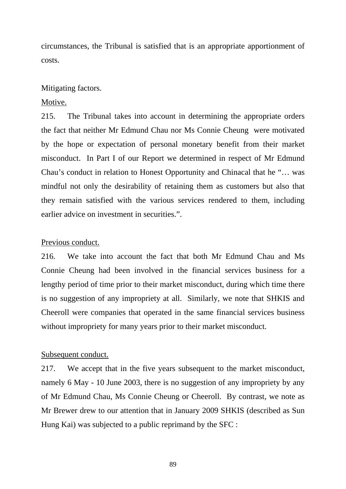circumstances, the Tribunal is satisfied that is an appropriate apportionment of costs.

### Mitigating factors.

### Motive.

215. The Tribunal takes into account in determining the appropriate orders the fact that neither Mr Edmund Chau nor Ms Connie Cheung were motivated by the hope or expectation of personal monetary benefit from their market misconduct. In Part I of our Report we determined in respect of Mr Edmund Chau's conduct in relation to Honest Opportunity and Chinacal that he "… was mindful not only the desirability of retaining them as customers but also that they remain satisfied with the various services rendered to them, including earlier advice on investment in securities.".

### Previous conduct.

216. We take into account the fact that both Mr Edmund Chau and Ms Connie Cheung had been involved in the financial services business for a lengthy period of time prior to their market misconduct, during which time there is no suggestion of any impropriety at all. Similarly, we note that SHKIS and Cheeroll were companies that operated in the same financial services business without impropriety for many years prior to their market misconduct.

# Subsequent conduct.

217. We accept that in the five years subsequent to the market misconduct, namely 6 May - 10 June 2003, there is no suggestion of any impropriety by any of Mr Edmund Chau, Ms Connie Cheung or Cheeroll. By contrast, we note as Mr Brewer drew to our attention that in January 2009 SHKIS (described as Sun Hung Kai) was subjected to a public reprimand by the SFC :

89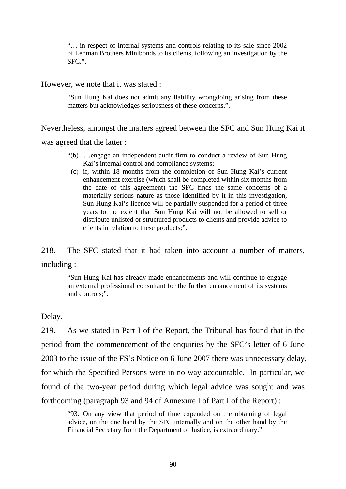"… in respect of internal systems and controls relating to its sale since 2002 of Lehman Brothers Minibonds to its clients, following an investigation by the SFC.".

However, we note that it was stated :

"Sun Hung Kai does not admit any liability wrongdoing arising from these matters but acknowledges seriousness of these concerns.".

Nevertheless, amongst the matters agreed between the SFC and Sun Hung Kai it

was agreed that the latter :

- "(b) …engage an independent audit firm to conduct a review of Sun Hung Kai's internal control and compliance systems;
- (c) if, within 18 months from the completion of Sun Hung Kai's current enhancement exercise (which shall be completed within six months from the date of this agreement) the SFC finds the same concerns of a materially serious nature as those identified by it in this investigation, Sun Hung Kai's licence will be partially suspended for a period of three years to the extent that Sun Hung Kai will not be allowed to sell or distribute unlisted or structured products to clients and provide advice to clients in relation to these products;".

218. The SFC stated that it had taken into account a number of matters, including :

"Sun Hung Kai has already made enhancements and will continue to engage an external professional consultant for the further enhancement of its systems and controls;".

# Delay.

219. As we stated in Part I of the Report, the Tribunal has found that in the period from the commencement of the enquiries by the SFC's letter of 6 June 2003 to the issue of the FS's Notice on 6 June 2007 there was unnecessary delay, for which the Specified Persons were in no way accountable. In particular, we found of the two-year period during which legal advice was sought and was forthcoming (paragraph 93 and 94 of Annexure I of Part I of the Report) :

"93. On any view that period of time expended on the obtaining of legal advice, on the one hand by the SFC internally and on the other hand by the Financial Secretary from the Department of Justice, is extraordinary.".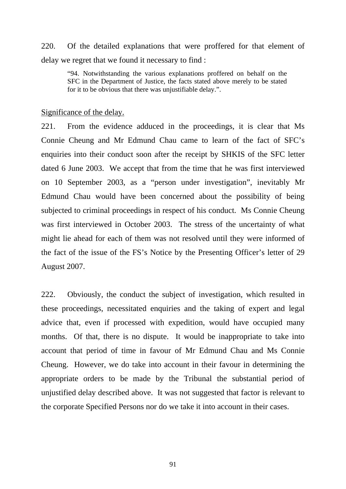220. Of the detailed explanations that were proffered for that element of delay we regret that we found it necessary to find :

"94. Notwithstanding the various explanations proffered on behalf on the SFC in the Department of Justice, the facts stated above merely to be stated for it to be obvious that there was unjustifiable delay.".

Significance of the delay.

221. From the evidence adduced in the proceedings, it is clear that Ms Connie Cheung and Mr Edmund Chau came to learn of the fact of SFC's enquiries into their conduct soon after the receipt by SHKIS of the SFC letter dated 6 June 2003. We accept that from the time that he was first interviewed on 10 September 2003, as a "person under investigation", inevitably Mr Edmund Chau would have been concerned about the possibility of being subjected to criminal proceedings in respect of his conduct. Ms Connie Cheung was first interviewed in October 2003. The stress of the uncertainty of what might lie ahead for each of them was not resolved until they were informed of the fact of the issue of the FS's Notice by the Presenting Officer's letter of 29 August 2007.

222. Obviously, the conduct the subject of investigation, which resulted in these proceedings, necessitated enquiries and the taking of expert and legal advice that, even if processed with expedition, would have occupied many months. Of that, there is no dispute. It would be inappropriate to take into account that period of time in favour of Mr Edmund Chau and Ms Connie Cheung. However, we do take into account in their favour in determining the appropriate orders to be made by the Tribunal the substantial period of unjustified delay described above. It was not suggested that factor is relevant to the corporate Specified Persons nor do we take it into account in their cases.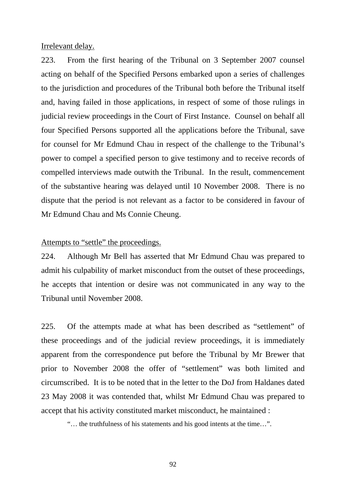#### Irrelevant delay.

223. From the first hearing of the Tribunal on 3 September 2007 counsel acting on behalf of the Specified Persons embarked upon a series of challenges to the jurisdiction and procedures of the Tribunal both before the Tribunal itself and, having failed in those applications, in respect of some of those rulings in judicial review proceedings in the Court of First Instance. Counsel on behalf all four Specified Persons supported all the applications before the Tribunal, save for counsel for Mr Edmund Chau in respect of the challenge to the Tribunal's power to compel a specified person to give testimony and to receive records of compelled interviews made outwith the Tribunal. In the result, commencement of the substantive hearing was delayed until 10 November 2008. There is no dispute that the period is not relevant as a factor to be considered in favour of Mr Edmund Chau and Ms Connie Cheung.

#### Attempts to "settle" the proceedings.

224. Although Mr Bell has asserted that Mr Edmund Chau was prepared to admit his culpability of market misconduct from the outset of these proceedings, he accepts that intention or desire was not communicated in any way to the Tribunal until November 2008.

225. Of the attempts made at what has been described as "settlement" of these proceedings and of the judicial review proceedings, it is immediately apparent from the correspondence put before the Tribunal by Mr Brewer that prior to November 2008 the offer of "settlement" was both limited and circumscribed. It is to be noted that in the letter to the DoJ from Haldanes dated 23 May 2008 it was contended that, whilst Mr Edmund Chau was prepared to accept that his activity constituted market misconduct, he maintained :

"… the truthfulness of his statements and his good intents at the time…".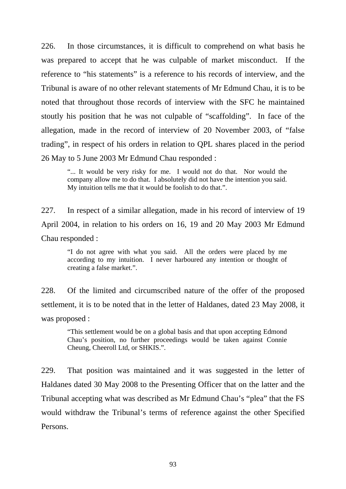226. In those circumstances, it is difficult to comprehend on what basis he was prepared to accept that he was culpable of market misconduct. If the reference to "his statements" is a reference to his records of interview, and the Tribunal is aware of no other relevant statements of Mr Edmund Chau, it is to be noted that throughout those records of interview with the SFC he maintained stoutly his position that he was not culpable of "scaffolding". In face of the allegation, made in the record of interview of 20 November 2003, of "false trading", in respect of his orders in relation to QPL shares placed in the period 26 May to 5 June 2003 Mr Edmund Chau responded :

"... It would be very risky for me. I would not do that. Nor would the company allow me to do that. I absolutely did not have the intention you said. My intuition tells me that it would be foolish to do that.".

227. In respect of a similar allegation, made in his record of interview of 19 April 2004, in relation to his orders on 16, 19 and 20 May 2003 Mr Edmund Chau responded :

"I do not agree with what you said. All the orders were placed by me according to my intuition. I never harboured any intention or thought of creating a false market.".

228. Of the limited and circumscribed nature of the offer of the proposed settlement, it is to be noted that in the letter of Haldanes, dated 23 May 2008, it was proposed :

"This settlement would be on a global basis and that upon accepting Edmond Chau's position, no further proceedings would be taken against Connie Cheung, Cheeroll Ltd, or SHKIS.".

229. That position was maintained and it was suggested in the letter of Haldanes dated 30 May 2008 to the Presenting Officer that on the latter and the Tribunal accepting what was described as Mr Edmund Chau's "plea" that the FS would withdraw the Tribunal's terms of reference against the other Specified Persons.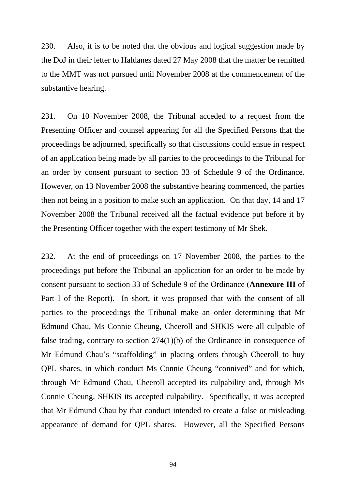230. Also, it is to be noted that the obvious and logical suggestion made by the DoJ in their letter to Haldanes dated 27 May 2008 that the matter be remitted to the MMT was not pursued until November 2008 at the commencement of the substantive hearing.

231. On 10 November 2008, the Tribunal acceded to a request from the Presenting Officer and counsel appearing for all the Specified Persons that the proceedings be adjourned, specifically so that discussions could ensue in respect of an application being made by all parties to the proceedings to the Tribunal for an order by consent pursuant to section 33 of Schedule 9 of the Ordinance. However, on 13 November 2008 the substantive hearing commenced, the parties then not being in a position to make such an application. On that day, 14 and 17 November 2008 the Tribunal received all the factual evidence put before it by the Presenting Officer together with the expert testimony of Mr Shek.

232. At the end of proceedings on 17 November 2008, the parties to the proceedings put before the Tribunal an application for an order to be made by consent pursuant to section 33 of Schedule 9 of the Ordinance (**Annexure III** of Part I of the Report). In short, it was proposed that with the consent of all parties to the proceedings the Tribunal make an order determining that Mr Edmund Chau, Ms Connie Cheung, Cheeroll and SHKIS were all culpable of false trading, contrary to section 274(1)(b) of the Ordinance in consequence of Mr Edmund Chau's "scaffolding" in placing orders through Cheeroll to buy QPL shares, in which conduct Ms Connie Cheung "connived" and for which, through Mr Edmund Chau, Cheeroll accepted its culpability and, through Ms Connie Cheung, SHKIS its accepted culpability. Specifically, it was accepted that Mr Edmund Chau by that conduct intended to create a false or misleading appearance of demand for QPL shares. However, all the Specified Persons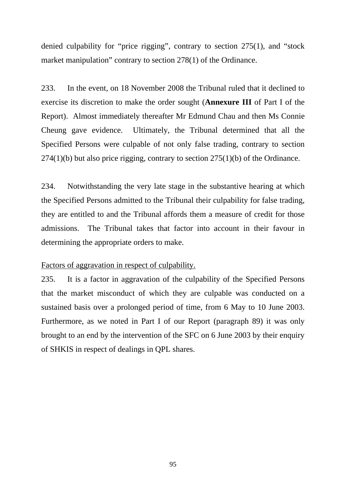denied culpability for "price rigging", contrary to section 275(1), and "stock market manipulation" contrary to section 278(1) of the Ordinance.

233. In the event, on 18 November 2008 the Tribunal ruled that it declined to exercise its discretion to make the order sought (**Annexure III** of Part I of the Report). Almost immediately thereafter Mr Edmund Chau and then Ms Connie Cheung gave evidence. Ultimately, the Tribunal determined that all the Specified Persons were culpable of not only false trading, contrary to section 274(1)(b) but also price rigging, contrary to section 275(1)(b) of the Ordinance.

234. Notwithstanding the very late stage in the substantive hearing at which the Specified Persons admitted to the Tribunal their culpability for false trading, they are entitled to and the Tribunal affords them a measure of credit for those admissions. The Tribunal takes that factor into account in their favour in determining the appropriate orders to make.

Factors of aggravation in respect of culpability.

235. It is a factor in aggravation of the culpability of the Specified Persons that the market misconduct of which they are culpable was conducted on a sustained basis over a prolonged period of time, from 6 May to 10 June 2003. Furthermore, as we noted in Part I of our Report (paragraph 89) it was only brought to an end by the intervention of the SFC on 6 June 2003 by their enquiry of SHKIS in respect of dealings in QPL shares.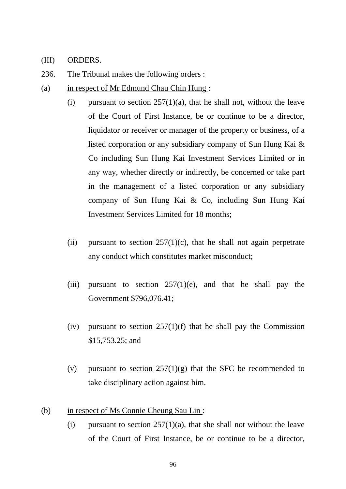- (III) ORDERS.
- 236. The Tribunal makes the following orders :
- (a) in respect of Mr Edmund Chau Chin Hung :
	- (i) pursuant to section  $257(1)(a)$ , that he shall not, without the leave of the Court of First Instance, be or continue to be a director, liquidator or receiver or manager of the property or business, of a listed corporation or any subsidiary company of Sun Hung Kai & Co including Sun Hung Kai Investment Services Limited or in any way, whether directly or indirectly, be concerned or take part in the management of a listed corporation or any subsidiary company of Sun Hung Kai & Co, including Sun Hung Kai Investment Services Limited for 18 months;
	- (ii) pursuant to section  $257(1)(c)$ , that he shall not again perpetrate any conduct which constitutes market misconduct;
	- (iii) pursuant to section  $257(1)(e)$ , and that he shall pay the Government \$796,076.41;
	- (iv) pursuant to section  $257(1)(f)$  that he shall pay the Commission \$15,753.25; and
	- (v) pursuant to section  $257(1)(g)$  that the SFC be recommended to take disciplinary action against him.
- (b) in respect of Ms Connie Cheung Sau Lin :
	- (i) pursuant to section  $257(1)(a)$ , that she shall not without the leave of the Court of First Instance, be or continue to be a director,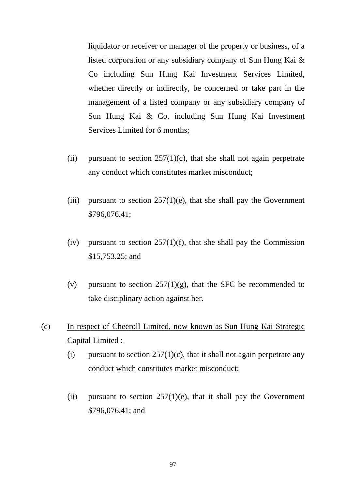liquidator or receiver or manager of the property or business, of a listed corporation or any subsidiary company of Sun Hung Kai & Co including Sun Hung Kai Investment Services Limited, whether directly or indirectly, be concerned or take part in the management of a listed company or any subsidiary company of Sun Hung Kai & Co, including Sun Hung Kai Investment Services Limited for 6 months;

- (ii) pursuant to section  $257(1)(c)$ , that she shall not again perpetrate any conduct which constitutes market misconduct;
- (iii) pursuant to section  $257(1)(e)$ , that she shall pay the Government \$796,076.41;
- (iv) pursuant to section  $257(1)(f)$ , that she shall pay the Commission \$15,753.25; and
- (v) pursuant to section  $257(1)(g)$ , that the SFC be recommended to take disciplinary action against her.
- (c) In respect of Cheeroll Limited, now known as Sun Hung Kai Strategic Capital Limited :
	- (i) pursuant to section  $257(1)(c)$ , that it shall not again perpetrate any conduct which constitutes market misconduct;
	- (ii) pursuant to section  $257(1)(e)$ , that it shall pay the Government \$796,076.41; and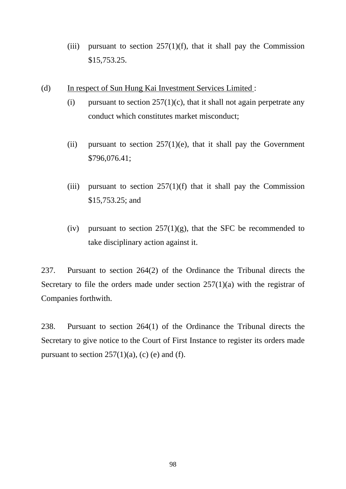- (iii) pursuant to section  $257(1)(f)$ , that it shall pay the Commission \$15,753.25.
- (d) In respect of Sun Hung Kai Investment Services Limited :
	- (i) pursuant to section  $257(1)(c)$ , that it shall not again perpetrate any conduct which constitutes market misconduct;
	- (ii) pursuant to section  $257(1)(e)$ , that it shall pay the Government \$796,076.41;
	- (iii) pursuant to section  $257(1)(f)$  that it shall pay the Commission \$15,753.25; and
	- (iv) pursuant to section  $257(1)(g)$ , that the SFC be recommended to take disciplinary action against it.

237. Pursuant to section 264(2) of the Ordinance the Tribunal directs the Secretary to file the orders made under section  $257(1)(a)$  with the registrar of Companies forthwith.

238. Pursuant to section 264(1) of the Ordinance the Tribunal directs the Secretary to give notice to the Court of First Instance to register its orders made pursuant to section  $257(1)(a)$ , (c) (e) and (f).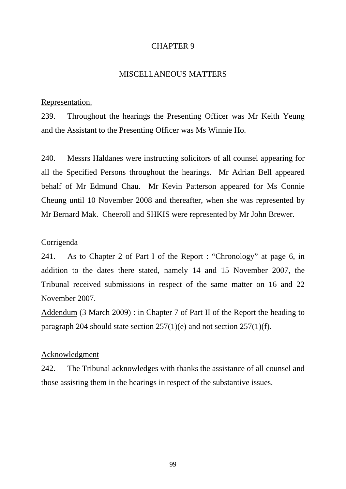# CHAPTER 9

### MISCELLANEOUS MATTERS

#### Representation.

239. Throughout the hearings the Presenting Officer was Mr Keith Yeung and the Assistant to the Presenting Officer was Ms Winnie Ho.

240. Messrs Haldanes were instructing solicitors of all counsel appearing for all the Specified Persons throughout the hearings. Mr Adrian Bell appeared behalf of Mr Edmund Chau. Mr Kevin Patterson appeared for Ms Connie Cheung until 10 November 2008 and thereafter, when she was represented by Mr Bernard Mak. Cheeroll and SHKIS were represented by Mr John Brewer.

#### Corrigenda

241. As to Chapter 2 of Part I of the Report : "Chronology" at page 6, in addition to the dates there stated, namely 14 and 15 November 2007, the Tribunal received submissions in respect of the same matter on 16 and 22 November 2007.

Addendum (3 March 2009) : in Chapter 7 of Part II of the Report the heading to paragraph 204 should state section  $257(1)(e)$  and not section  $257(1)(f)$ .

#### Acknowledgment

242. The Tribunal acknowledges with thanks the assistance of all counsel and those assisting them in the hearings in respect of the substantive issues.